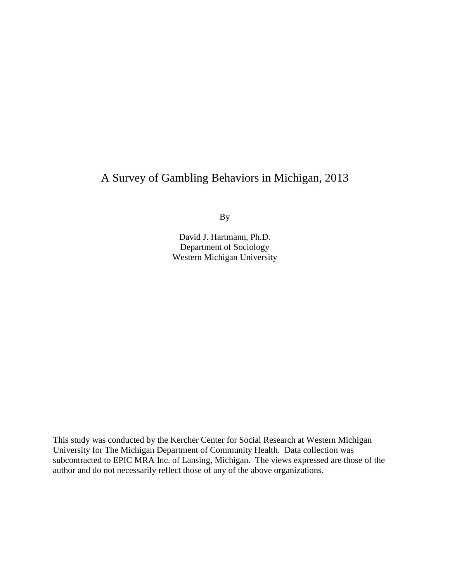## A Survey of Gambling Behaviors in Michigan, 2013

By

David J. Hartmann, Ph.D. Department of Sociology Western Michigan University

This study was conducted by the Kercher Center for Social Research at Western Michigan University for The Michigan Department of Community Health. Data collection was subcontracted to EPIC MRA Inc. of Lansing, Michigan. The views expressed are those of the author and do not necessarily reflect those of any of the above organizations.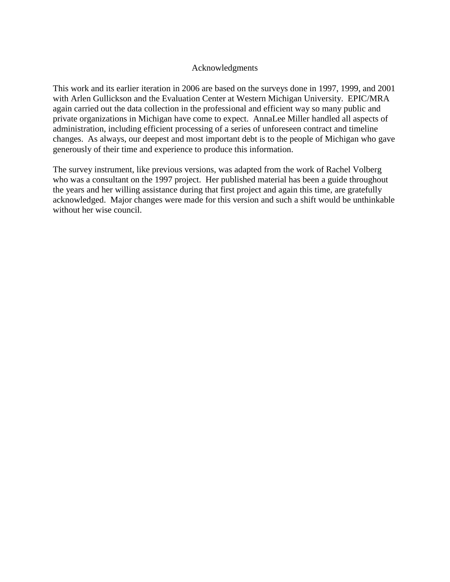#### Acknowledgments

This work and its earlier iteration in 2006 are based on the surveys done in 1997, 1999, and 2001 with Arlen Gullickson and the Evaluation Center at Western Michigan University. EPIC/MRA again carried out the data collection in the professional and efficient way so many public and private organizations in Michigan have come to expect. AnnaLee Miller handled all aspects of administration, including efficient processing of a series of unforeseen contract and timeline changes. As always, our deepest and most important debt is to the people of Michigan who gave generously of their time and experience to produce this information.

The survey instrument, like previous versions, was adapted from the work of Rachel Volberg who was a consultant on the 1997 project. Her published material has been a guide throughout the years and her willing assistance during that first project and again this time, are gratefully acknowledged. Major changes were made for this version and such a shift would be unthinkable without her wise council.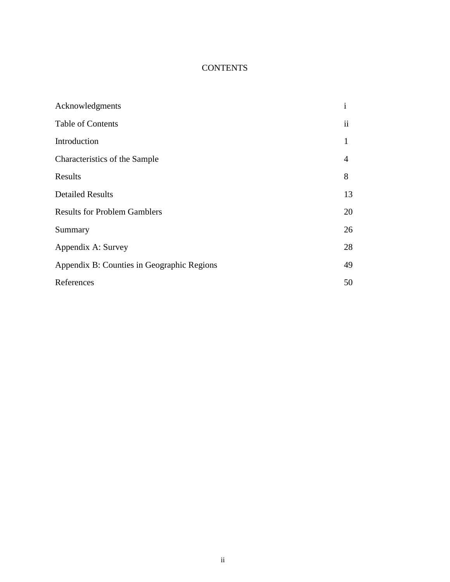## **CONTENTS**

| Acknowledgments                            | $\mathbf{i}$  |
|--------------------------------------------|---------------|
| Table of Contents                          | $\mathbf{ii}$ |
| Introduction                               | 1             |
| Characteristics of the Sample              | 4             |
| Results                                    | 8             |
| <b>Detailed Results</b>                    | 13            |
| <b>Results for Problem Gamblers</b>        | 20            |
| Summary                                    | 26            |
| Appendix A: Survey                         | 28            |
| Appendix B: Counties in Geographic Regions | 49            |
| References                                 | 50            |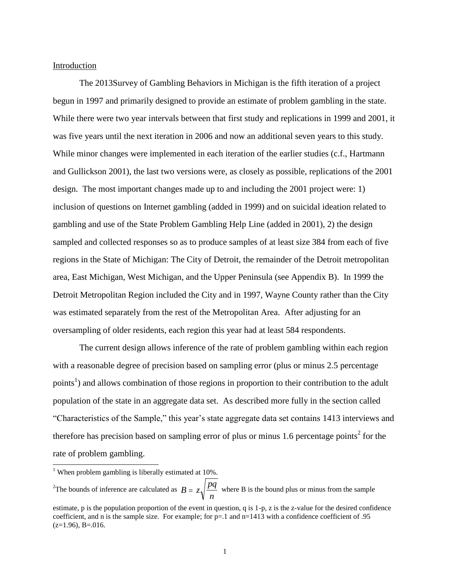#### Introduction

The 2013Survey of Gambling Behaviors in Michigan is the fifth iteration of a project begun in 1997 and primarily designed to provide an estimate of problem gambling in the state. While there were two year intervals between that first study and replications in 1999 and 2001, it was five years until the next iteration in 2006 and now an additional seven years to this study. While minor changes were implemented in each iteration of the earlier studies (c.f., Hartmann and Gullickson 2001), the last two versions were, as closely as possible, replications of the 2001 design. The most important changes made up to and including the 2001 project were: 1) inclusion of questions on Internet gambling (added in 1999) and on suicidal ideation related to gambling and use of the State Problem Gambling Help Line (added in 2001), 2) the design sampled and collected responses so as to produce samples of at least size 384 from each of five regions in the State of Michigan: The City of Detroit, the remainder of the Detroit metropolitan area, East Michigan, West Michigan, and the Upper Peninsula (see Appendix B). In 1999 the Detroit Metropolitan Region included the City and in 1997, Wayne County rather than the City was estimated separately from the rest of the Metropolitan Area. After adjusting for an oversampling of older residents, each region this year had at least 584 respondents.

The current design allows inference of the rate of problem gambling within each region with a reasonable degree of precision based on sampling error (plus or minus 2.5 percentage points<sup>1</sup>) and allows combination of those regions in proportion to their contribution to the adult population of the state in an aggregate data set. As described more fully in the section called "Characteristics of the Sample," this year's state aggregate data set contains 1413 interviews and therefore has precision based on sampling error of plus or minus 1.6 percentage points<sup>2</sup> for the rate of problem gambling.

l

<sup>2</sup>The bounds of inference are calculated as  $B = z$ *pq*  $= z \sqrt{\frac{Pq}{n}}$  where B is the bound plus or minus from the sample

<sup>&</sup>lt;sup>1</sup> When problem gambling is liberally estimated at  $10\%$ .

estimate, p is the population proportion of the event in question, q is 1-p, z is the z-value for the desired confidence coefficient, and n is the sample size. For example; for  $p=1$  and  $n=1413$  with a confidence coefficient of .95  $(z=1.96)$ , B=.016.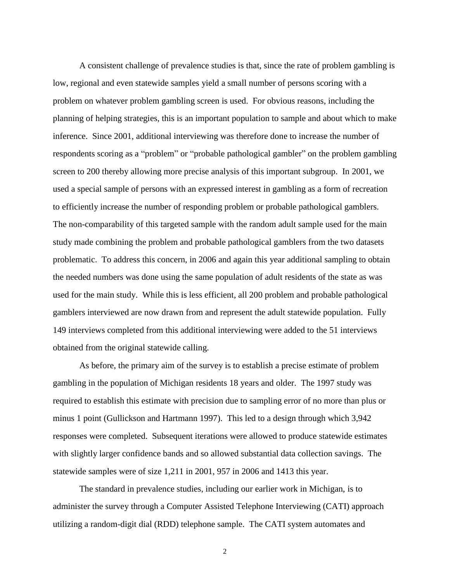A consistent challenge of prevalence studies is that, since the rate of problem gambling is low, regional and even statewide samples yield a small number of persons scoring with a problem on whatever problem gambling screen is used. For obvious reasons, including the planning of helping strategies, this is an important population to sample and about which to make inference. Since 2001, additional interviewing was therefore done to increase the number of respondents scoring as a "problem" or "probable pathological gambler" on the problem gambling screen to 200 thereby allowing more precise analysis of this important subgroup. In 2001, we used a special sample of persons with an expressed interest in gambling as a form of recreation to efficiently increase the number of responding problem or probable pathological gamblers. The non-comparability of this targeted sample with the random adult sample used for the main study made combining the problem and probable pathological gamblers from the two datasets problematic. To address this concern, in 2006 and again this year additional sampling to obtain the needed numbers was done using the same population of adult residents of the state as was used for the main study. While this is less efficient, all 200 problem and probable pathological gamblers interviewed are now drawn from and represent the adult statewide population. Fully 149 interviews completed from this additional interviewing were added to the 51 interviews obtained from the original statewide calling.

As before, the primary aim of the survey is to establish a precise estimate of problem gambling in the population of Michigan residents 18 years and older. The 1997 study was required to establish this estimate with precision due to sampling error of no more than plus or minus 1 point (Gullickson and Hartmann 1997). This led to a design through which 3,942 responses were completed. Subsequent iterations were allowed to produce statewide estimates with slightly larger confidence bands and so allowed substantial data collection savings. The statewide samples were of size 1,211 in 2001, 957 in 2006 and 1413 this year.

The standard in prevalence studies, including our earlier work in Michigan, is to administer the survey through a Computer Assisted Telephone Interviewing (CATI) approach utilizing a random-digit dial (RDD) telephone sample. The CATI system automates and

2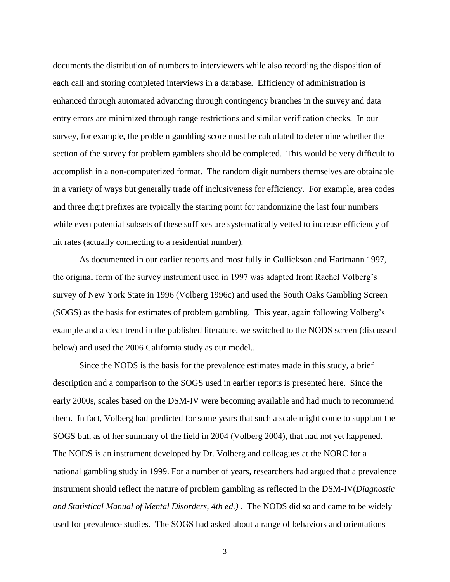documents the distribution of numbers to interviewers while also recording the disposition of each call and storing completed interviews in a database. Efficiency of administration is enhanced through automated advancing through contingency branches in the survey and data entry errors are minimized through range restrictions and similar verification checks. In our survey, for example, the problem gambling score must be calculated to determine whether the section of the survey for problem gamblers should be completed. This would be very difficult to accomplish in a non-computerized format. The random digit numbers themselves are obtainable in a variety of ways but generally trade off inclusiveness for efficiency. For example, area codes and three digit prefixes are typically the starting point for randomizing the last four numbers while even potential subsets of these suffixes are systematically vetted to increase efficiency of hit rates (actually connecting to a residential number).

As documented in our earlier reports and most fully in Gullickson and Hartmann 1997, the original form of the survey instrument used in 1997 was adapted from Rachel Volberg's survey of New York State in 1996 (Volberg 1996c) and used the South Oaks Gambling Screen (SOGS) as the basis for estimates of problem gambling. This year, again following Volberg's example and a clear trend in the published literature, we switched to the NODS screen (discussed below) and used the 2006 California study as our model..

Since the NODS is the basis for the prevalence estimates made in this study, a brief description and a comparison to the SOGS used in earlier reports is presented here. Since the early 2000s, scales based on the DSM-IV were becoming available and had much to recommend them. In fact, Volberg had predicted for some years that such a scale might come to supplant the SOGS but, as of her summary of the field in 2004 (Volberg 2004), that had not yet happened. The NODS is an instrument developed by Dr. Volberg and colleagues at the NORC for a national gambling study in 1999. For a number of years, researchers had argued that a prevalence instrument should reflect the nature of problem gambling as reflected in the DSM-IV(*Diagnostic and Statistical Manual of Mental Disorders, 4th ed.)* . The NODS did so and came to be widely used for prevalence studies. The SOGS had asked about a range of behaviors and orientations

3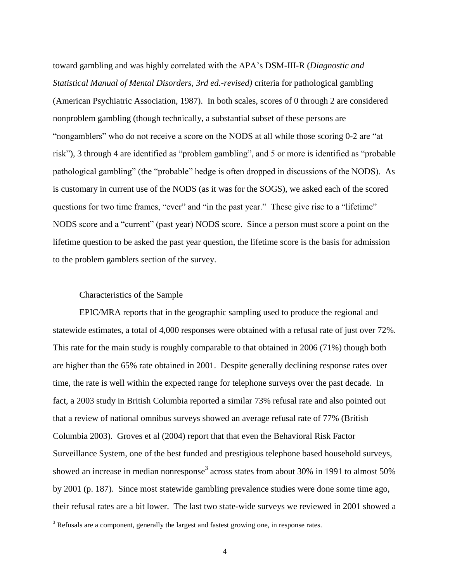toward gambling and was highly correlated with the APA's DSM-III-R (*Diagnostic and Statistical Manual of Mental Disorders, 3rd ed.-revised)* criteria for pathological gambling (American Psychiatric Association, 1987). In both scales, scores of 0 through 2 are considered nonproblem gambling (though technically, a substantial subset of these persons are "nongamblers" who do not receive a score on the NODS at all while those scoring 0-2 are "at risk"), 3 through 4 are identified as "problem gambling", and 5 or more is identified as "probable pathological gambling" (the "probable" hedge is often dropped in discussions of the NODS). As is customary in current use of the NODS (as it was for the SOGS), we asked each of the scored questions for two time frames, "ever" and "in the past year." These give rise to a "lifetime" NODS score and a "current" (past year) NODS score. Since a person must score a point on the lifetime question to be asked the past year question, the lifetime score is the basis for admission to the problem gamblers section of the survey.

#### Characteristics of the Sample

l

EPIC/MRA reports that in the geographic sampling used to produce the regional and statewide estimates, a total of 4,000 responses were obtained with a refusal rate of just over 72%. This rate for the main study is roughly comparable to that obtained in 2006 (71%) though both are higher than the 65% rate obtained in 2001. Despite generally declining response rates over time, the rate is well within the expected range for telephone surveys over the past decade. In fact, a 2003 study in British Columbia reported a similar 73% refusal rate and also pointed out that a review of national omnibus surveys showed an average refusal rate of 77% (British Columbia 2003). Groves et al (2004) report that that even the Behavioral Risk Factor Surveillance System, one of the best funded and prestigious telephone based household surveys, showed an increase in median nonresponse<sup>3</sup> across states from about 30% in 1991 to almost 50% by 2001 (p. 187). Since most statewide gambling prevalence studies were done some time ago, their refusal rates are a bit lower. The last two state-wide surveys we reviewed in 2001 showed a

<sup>&</sup>lt;sup>3</sup> Refusals are a component, generally the largest and fastest growing one, in response rates.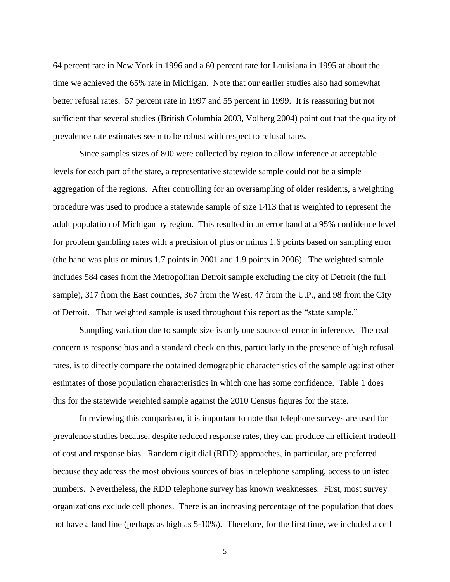64 percent rate in New York in 1996 and a 60 percent rate for Louisiana in 1995 at about the time we achieved the 65% rate in Michigan. Note that our earlier studies also had somewhat better refusal rates: 57 percent rate in 1997 and 55 percent in 1999. It is reassuring but not sufficient that several studies (British Columbia 2003, Volberg 2004) point out that the quality of prevalence rate estimates seem to be robust with respect to refusal rates.

Since samples sizes of 800 were collected by region to allow inference at acceptable levels for each part of the state, a representative statewide sample could not be a simple aggregation of the regions. After controlling for an oversampling of older residents, a weighting procedure was used to produce a statewide sample of size 1413 that is weighted to represent the adult population of Michigan by region. This resulted in an error band at a 95% confidence level for problem gambling rates with a precision of plus or minus 1.6 points based on sampling error (the band was plus or minus 1.7 points in 2001 and 1.9 points in 2006). The weighted sample includes 584 cases from the Metropolitan Detroit sample excluding the city of Detroit (the full sample), 317 from the East counties, 367 from the West, 47 from the U.P., and 98 from the City of Detroit. That weighted sample is used throughout this report as the "state sample."

Sampling variation due to sample size is only one source of error in inference. The real concern is response bias and a standard check on this, particularly in the presence of high refusal rates, is to directly compare the obtained demographic characteristics of the sample against other estimates of those population characteristics in which one has some confidence. Table 1 does this for the statewide weighted sample against the 2010 Census figures for the state.

In reviewing this comparison, it is important to note that telephone surveys are used for prevalence studies because, despite reduced response rates, they can produce an efficient tradeoff of cost and response bias. Random digit dial (RDD) approaches, in particular, are preferred because they address the most obvious sources of bias in telephone sampling, access to unlisted numbers. Nevertheless, the RDD telephone survey has known weaknesses. First, most survey organizations exclude cell phones. There is an increasing percentage of the population that does not have a land line (perhaps as high as 5-10%). Therefore, for the first time, we included a cell

5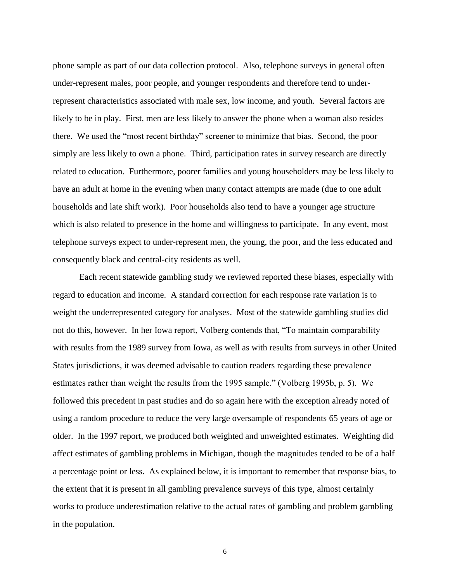phone sample as part of our data collection protocol. Also, telephone surveys in general often under-represent males, poor people, and younger respondents and therefore tend to underrepresent characteristics associated with male sex, low income, and youth. Several factors are likely to be in play. First, men are less likely to answer the phone when a woman also resides there. We used the "most recent birthday" screener to minimize that bias. Second, the poor simply are less likely to own a phone. Third, participation rates in survey research are directly related to education. Furthermore, poorer families and young householders may be less likely to have an adult at home in the evening when many contact attempts are made (due to one adult households and late shift work). Poor households also tend to have a younger age structure which is also related to presence in the home and willingness to participate. In any event, most telephone surveys expect to under-represent men, the young, the poor, and the less educated and consequently black and central-city residents as well.

Each recent statewide gambling study we reviewed reported these biases, especially with regard to education and income. A standard correction for each response rate variation is to weight the underrepresented category for analyses. Most of the statewide gambling studies did not do this, however. In her Iowa report, Volberg contends that, "To maintain comparability with results from the 1989 survey from Iowa, as well as with results from surveys in other United States jurisdictions, it was deemed advisable to caution readers regarding these prevalence estimates rather than weight the results from the 1995 sample." (Volberg 1995b, p. 5). We followed this precedent in past studies and do so again here with the exception already noted of using a random procedure to reduce the very large oversample of respondents 65 years of age or older. In the 1997 report, we produced both weighted and unweighted estimates. Weighting did affect estimates of gambling problems in Michigan, though the magnitudes tended to be of a half a percentage point or less. As explained below, it is important to remember that response bias, to the extent that it is present in all gambling prevalence surveys of this type, almost certainly works to produce underestimation relative to the actual rates of gambling and problem gambling in the population.

6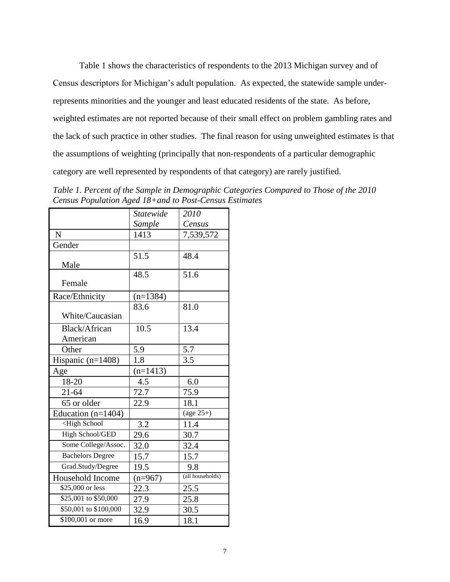Table 1 shows the characteristics of respondents to the 2013 Michigan survey and of Census descriptors for Michigan's adult population. As expected, the statewide sample underrepresents minorities and the younger and least educated residents of the state. As before, weighted estimates are not reported because of their small effect on problem gambling rates and the lack of such practice in other studies. The final reason for using unweighted estimates is that the assumptions of weighting (principally that non-respondents of a particular demographic category are well represented by respondents of that category) are rarely justified.

*Table 1. Percent of the Sample in Demographic Categories Compared to Those of the 2010 Census Population Aged 18+and to Post-Census Estimates*

|                                                         | Statewide  | 2010                    |
|---------------------------------------------------------|------------|-------------------------|
|                                                         | Sample     | Census                  |
| N                                                       | 1413       | 7,539,572               |
| Gender                                                  |            |                         |
| Male                                                    | 51.5       | 48.4                    |
| Female                                                  | 48.5       | 51.6                    |
| Race/Ethnicity                                          | $(n=1384)$ |                         |
| White/Caucasian                                         | 83.6       | 81.0                    |
| Black/African<br>American                               | 10.5       | 13.4                    |
| Other                                                   | 5.9        | 5.7                     |
| Hispanic $(n=1408)$                                     | 1.8        | 3.5                     |
| Age                                                     | $(n=1413)$ |                         |
| 18-20                                                   | 4.5        | 6.0                     |
| $21 - 64$                                               | 72.7       | 75.9                    |
| 65 or older                                             | 22.9       | 18.1                    |
| Education $(n=1404)$                                    |            | (age $25\overline{+}$ ) |
| <high school<="" td=""><td>3.2</td><td>11.4</td></high> | 3.2        | 11.4                    |
| High School/GED                                         | 29.6       | 30.7                    |
| Some College/Assoc.                                     | 32.0       | 32.4                    |
| <b>Bachelors Degree</b>                                 | 15.7       | 15.7                    |
| Grad.Study/Degree                                       | 19.5       | 9.8                     |
| Household Income                                        | $(n=967)$  | (all households)        |
| \$25,000 or less                                        | 22.3       | 25.5                    |
| \$25,001 to \$50,000                                    | 27.9       | 25.8                    |
| \$50,001 to \$100,000                                   | 32.9       | 30.5                    |
| $\overline{$100,001}$ or more                           | 16.9       | 18.1                    |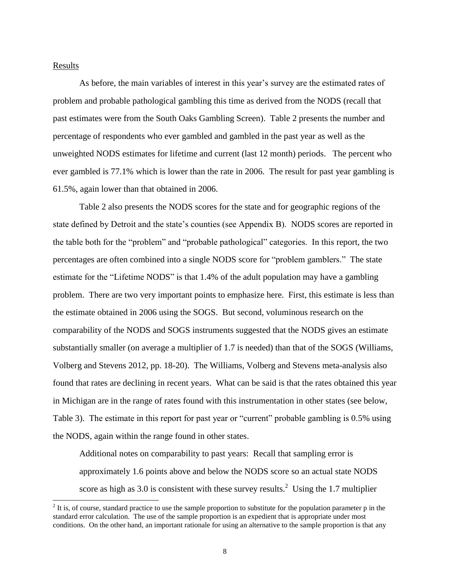#### Results

l

As before, the main variables of interest in this year's survey are the estimated rates of problem and probable pathological gambling this time as derived from the NODS (recall that past estimates were from the South Oaks Gambling Screen). Table 2 presents the number and percentage of respondents who ever gambled and gambled in the past year as well as the unweighted NODS estimates for lifetime and current (last 12 month) periods. The percent who ever gambled is 77.1% which is lower than the rate in 2006. The result for past year gambling is 61.5%, again lower than that obtained in 2006.

Table 2 also presents the NODS scores for the state and for geographic regions of the state defined by Detroit and the state's counties (see Appendix B). NODS scores are reported in the table both for the "problem" and "probable pathological" categories. In this report, the two percentages are often combined into a single NODS score for "problem gamblers." The state estimate for the "Lifetime NODS" is that 1.4% of the adult population may have a gambling problem. There are two very important points to emphasize here. First, this estimate is less than the estimate obtained in 2006 using the SOGS. But second, voluminous research on the comparability of the NODS and SOGS instruments suggested that the NODS gives an estimate substantially smaller (on average a multiplier of 1.7 is needed) than that of the SOGS (Williams, Volberg and Stevens 2012, pp. 18-20). The Williams, Volberg and Stevens meta-analysis also found that rates are declining in recent years. What can be said is that the rates obtained this year in Michigan are in the range of rates found with this instrumentation in other states (see below, Table 3). The estimate in this report for past year or "current" probable gambling is 0.5% using the NODS, again within the range found in other states.

Additional notes on comparability to past years: Recall that sampling error is approximately 1.6 points above and below the NODS score so an actual state NODS score as high as 3.0 is consistent with these survey results.<sup>2</sup> Using the 1.7 multiplier

 $2<sup>2</sup>$  It is, of course, standard practice to use the sample proportion to substitute for the population parameter p in the standard error calculation. The use of the sample proportion is an expedient that is appropriate under most conditions. On the other hand, an important rationale for using an alternative to the sample proportion is that any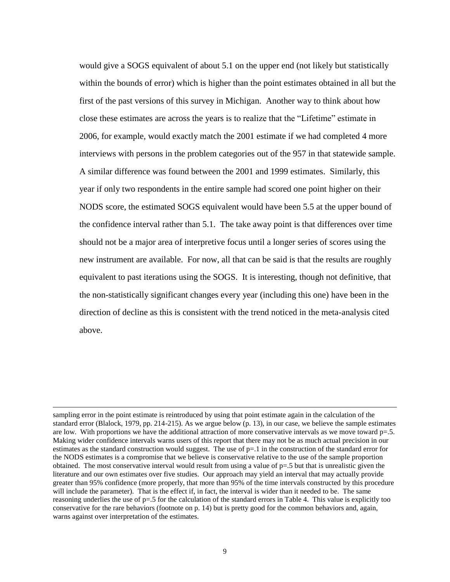would give a SOGS equivalent of about 5.1 on the upper end (not likely but statistically within the bounds of error) which is higher than the point estimates obtained in all but the first of the past versions of this survey in Michigan. Another way to think about how close these estimates are across the years is to realize that the "Lifetime" estimate in 2006, for example, would exactly match the 2001 estimate if we had completed 4 more interviews with persons in the problem categories out of the 957 in that statewide sample. A similar difference was found between the 2001 and 1999 estimates. Similarly, this year if only two respondents in the entire sample had scored one point higher on their NODS score, the estimated SOGS equivalent would have been 5.5 at the upper bound of the confidence interval rather than 5.1. The take away point is that differences over time should not be a major area of interpretive focus until a longer series of scores using the new instrument are available. For now, all that can be said is that the results are roughly equivalent to past iterations using the SOGS. It is interesting, though not definitive, that the non-statistically significant changes every year (including this one) have been in the direction of decline as this is consistent with the trend noticed in the meta-analysis cited above.

 $\overline{a}$ 

sampling error in the point estimate is reintroduced by using that point estimate again in the calculation of the standard error (Blalock, 1979, pp. 214-215). As we argue below (p. 13), in our case, we believe the sample estimates are low. With proportions we have the additional attraction of more conservative intervals as we move toward p=.5. Making wider confidence intervals warns users of this report that there may not be as much actual precision in our estimates as the standard construction would suggest. The use of p=.1 in the construction of the standard error for the NODS estimates is a compromise that we believe is conservative relative to the use of the sample proportion obtained. The most conservative interval would result from using a value of  $p=0.5$  but that is unrealistic given the literature and our own estimates over five studies. Our approach may yield an interval that may actually provide greater than 95% confidence (more properly, that more than 95% of the time intervals constructed by this procedure will include the parameter). That is the effect if, in fact, the interval is wider than it needed to be. The same reasoning underlies the use of  $p=0.5$  for the calculation of the standard errors in Table 4. This value is explicitly too conservative for the rare behaviors (footnote on p. 14) but is pretty good for the common behaviors and, again, warns against over interpretation of the estimates.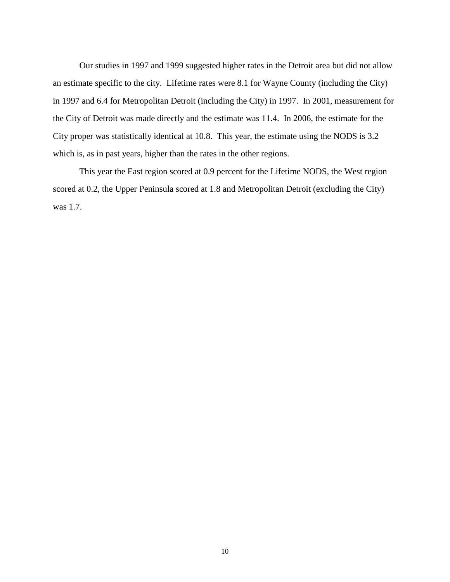Our studies in 1997 and 1999 suggested higher rates in the Detroit area but did not allow an estimate specific to the city. Lifetime rates were 8.1 for Wayne County (including the City) in 1997 and 6.4 for Metropolitan Detroit (including the City) in 1997. In 2001, measurement for the City of Detroit was made directly and the estimate was 11.4. In 2006, the estimate for the City proper was statistically identical at 10.8. This year, the estimate using the NODS is 3.2 which is, as in past years, higher than the rates in the other regions.

This year the East region scored at 0.9 percent for the Lifetime NODS, the West region scored at 0.2, the Upper Peninsula scored at 1.8 and Metropolitan Detroit (excluding the City) was 1.7.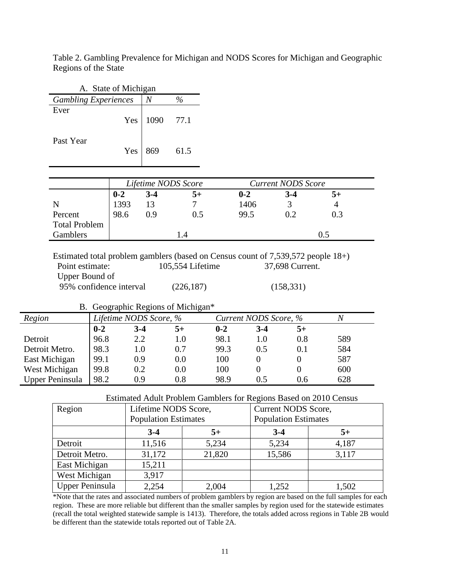| Table 2. Gambling Prevalence for Michigan and NODS Scores for Michigan and Geographic |  |  |  |
|---------------------------------------------------------------------------------------|--|--|--|
| Regions of the State                                                                  |  |  |  |

|                             | A. State of Michigan   |       |                     |         |                           |      |
|-----------------------------|------------------------|-------|---------------------|---------|---------------------------|------|
| <b>Gambling Experiences</b> | $\%$<br>$\overline{N}$ |       |                     |         |                           |      |
| Ever                        | Yes                    | 1090  | 77.1                |         |                           |      |
| Past Year                   | Yes                    | 869   | 61.5                |         |                           |      |
|                             |                        |       |                     |         |                           |      |
|                             |                        |       | Lifetime NODS Score |         | <b>Current NODS Score</b> |      |
|                             | $0 - 2$                | $3-4$ | $5+$                | $0 - 2$ | $3-4$                     | $5+$ |
| N                           | 1393                   | 13    | 7                   | 1406    | 3                         | 4    |
| Percent                     | 98.6                   | 0.9   | 0.5                 | 99.5    | 0.2                       | 0.3  |
| <b>Total Problem</b>        |                        |       |                     |         |                           |      |

Estimated total problem gamblers (based on Census count of 7,539,572 people 18+)<br>Point estimate: 105,554 Lifetime 37,698 Current. Point estimate: 105,554 Lifetime Upper Bound of 95% confidence interval (226,187) (158,331)

|                 |                        | D. Ocographic Regions of Michigan |                       |         |       |         |     |
|-----------------|------------------------|-----------------------------------|-----------------------|---------|-------|---------|-----|
| Region          | Lifetime NODS Score, % |                                   | Current NODS Score, % |         |       |         |     |
|                 | $0 - 2$                | $3-4$                             | $5+$                  | $0 - 2$ | $3-4$ | 5+      |     |
| Detroit         | 96.8                   | 2.2                               | $1.0\,$               | 98.1    | 1.0   | 0.8     | 589 |
| Detroit Metro.  | 98.3                   | 1.0                               | 0.7                   | 99.3    | 0.5   | $0.1\,$ | 584 |
| East Michigan   | 99.1                   | 0.9                               | 0.0                   | 100     | 0     |         | 587 |
| West Michigan   | 99.8                   | 0.2                               | 0.0                   | 100     | 0     |         | 600 |
| Upper Peninsula | 98.2                   | 0.9                               | 0.8                   | 98.9    | 0.5   | 0.6     | 628 |

B. Geographic Regions of Michigan\*

#### Estimated Adult Problem Gamblers for Regions Based on 2010 Census

| Region                 | Lifetime NODS Score,<br><b>Population Estimates</b> |        | Current NODS Score,<br><b>Population Estimates</b> |       |  |
|------------------------|-----------------------------------------------------|--------|----------------------------------------------------|-------|--|
|                        | $3-4$                                               | 5+     | $3-4$                                              | 5+    |  |
| Detroit                | 11,516                                              | 5,234  | 5,234                                              | 4,187 |  |
| Detroit Metro.         | 31,172                                              | 21,820 | 15,586                                             | 3,117 |  |
| East Michigan          | 15,211                                              |        |                                                    |       |  |
| West Michigan          | 3,917                                               |        |                                                    |       |  |
| <b>Upper Peninsula</b> | 2,254                                               | 2,004  | 1,252                                              | 1,502 |  |

\*Note that the rates and associated numbers of problem gamblers by region are based on the full samples for each region. These are more reliable but different than the smaller samples by region used for the statewide estimates (recall the total weighted statewide sample is 1413). Therefore, the totals added across regions in Table 2B would be different than the statewide totals reported out of Table 2A.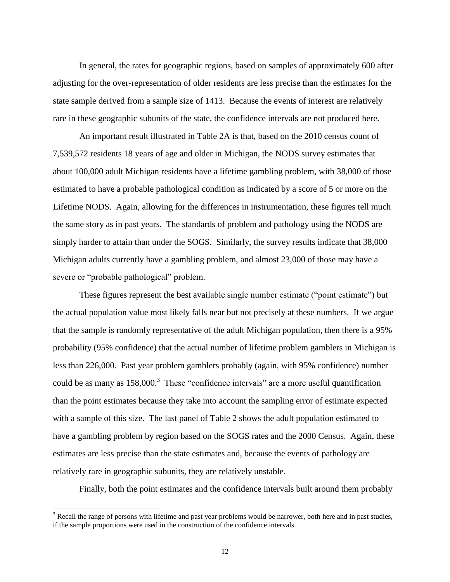In general, the rates for geographic regions, based on samples of approximately 600 after adjusting for the over-representation of older residents are less precise than the estimates for the state sample derived from a sample size of 1413. Because the events of interest are relatively rare in these geographic subunits of the state, the confidence intervals are not produced here.

An important result illustrated in Table 2A is that, based on the 2010 census count of 7,539,572 residents 18 years of age and older in Michigan, the NODS survey estimates that about 100,000 adult Michigan residents have a lifetime gambling problem, with 38,000 of those estimated to have a probable pathological condition as indicated by a score of 5 or more on the Lifetime NODS. Again, allowing for the differences in instrumentation, these figures tell much the same story as in past years. The standards of problem and pathology using the NODS are simply harder to attain than under the SOGS. Similarly, the survey results indicate that 38,000 Michigan adults currently have a gambling problem, and almost 23,000 of those may have a severe or "probable pathological" problem.

These figures represent the best available single number estimate ("point estimate") but the actual population value most likely falls near but not precisely at these numbers. If we argue that the sample is randomly representative of the adult Michigan population, then there is a 95% probability (95% confidence) that the actual number of lifetime problem gamblers in Michigan is less than 226,000. Past year problem gamblers probably (again, with 95% confidence) number could be as many as  $158,000$ .<sup>3</sup> These "confidence intervals" are a more useful quantification than the point estimates because they take into account the sampling error of estimate expected with a sample of this size. The last panel of Table 2 shows the adult population estimated to have a gambling problem by region based on the SOGS rates and the 2000 Census. Again, these estimates are less precise than the state estimates and, because the events of pathology are relatively rare in geographic subunits, they are relatively unstable.

Finally, both the point estimates and the confidence intervals built around them probably

 $\overline{a}$ 

<sup>&</sup>lt;sup>3</sup> Recall the range of persons with lifetime and past year problems would be narrower, both here and in past studies, if the sample proportions were used in the construction of the confidence intervals.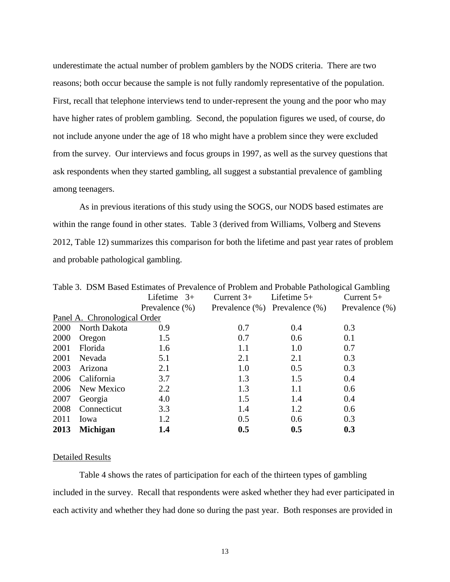underestimate the actual number of problem gamblers by the NODS criteria. There are two reasons; both occur because the sample is not fully randomly representative of the population. First, recall that telephone interviews tend to under-represent the young and the poor who may have higher rates of problem gambling. Second, the population figures we used, of course, do not include anyone under the age of 18 who might have a problem since they were excluded from the survey. Our interviews and focus groups in 1997, as well as the survey questions that ask respondents when they started gambling, all suggest a substantial prevalence of gambling among teenagers.

As in previous iterations of this study using the SOGS, our NODS based estimates are within the range found in other states. Table 3 (derived from Williams, Volberg and Stevens 2012, Table 12) summarizes this comparison for both the lifetime and past year rates of problem and probable pathological gambling.

|      | Table 3. DSM Based Estimates of Prevalence of Problem and Probable Pathological Gambling |                |              |                                     |                    |  |  |  |  |
|------|------------------------------------------------------------------------------------------|----------------|--------------|-------------------------------------|--------------------|--|--|--|--|
|      |                                                                                          | Lifetime $3+$  | Current $3+$ | Lifetime $5+$                       | Current $5+$       |  |  |  |  |
|      |                                                                                          | Prevalence (%) |              | Prevalence $(\%)$ Prevalence $(\%)$ | Prevalence $(\% )$ |  |  |  |  |
|      | Panel A. Chronological Order                                                             |                |              |                                     |                    |  |  |  |  |
| 2000 | North Dakota                                                                             | 0.9            | 0.7          | 0.4                                 | 0.3                |  |  |  |  |
| 2000 | Oregon                                                                                   | 1.5            | 0.7          | 0.6                                 | 0.1                |  |  |  |  |
| 2001 | Florida                                                                                  | 1.6            | 1.1          | 1.0                                 | 0.7                |  |  |  |  |
| 2001 | Nevada                                                                                   | 5.1            | 2.1          | 2.1                                 | 0.3                |  |  |  |  |
| 2003 | Arizona                                                                                  | 2.1            | 1.0          | 0.5                                 | 0.3                |  |  |  |  |
| 2006 | California                                                                               | 3.7            | 1.3          | 1.5                                 | 0.4                |  |  |  |  |
| 2006 | New Mexico                                                                               | 2.2            | 1.3          | 1.1                                 | 0.6                |  |  |  |  |
| 2007 | Georgia                                                                                  | 4.0            | 1.5          | 1.4                                 | 0.4                |  |  |  |  |
| 2008 | Connecticut                                                                              | 3.3            | 1.4          | 1.2                                 | 0.6                |  |  |  |  |
| 2011 | Iowa                                                                                     | 1.2            | 0.5          | 0.6                                 | 0.3                |  |  |  |  |
| 2013 | <b>Michigan</b>                                                                          | 1.4            | 0.5          | 0.5                                 | 0.3                |  |  |  |  |

#### Detailed Results

Table 4 shows the rates of participation for each of the thirteen types of gambling included in the survey. Recall that respondents were asked whether they had ever participated in each activity and whether they had done so during the past year. Both responses are provided in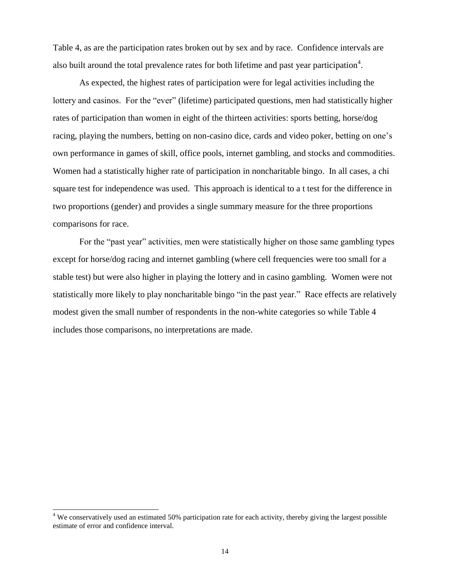Table 4, as are the participation rates broken out by sex and by race. Confidence intervals are also built around the total prevalence rates for both lifetime and past year participation<sup>4</sup>.

As expected, the highest rates of participation were for legal activities including the lottery and casinos. For the "ever" (lifetime) participated questions, men had statistically higher rates of participation than women in eight of the thirteen activities: sports betting, horse/dog racing, playing the numbers, betting on non-casino dice, cards and video poker, betting on one's own performance in games of skill, office pools, internet gambling, and stocks and commodities. Women had a statistically higher rate of participation in noncharitable bingo. In all cases, a chi square test for independence was used. This approach is identical to a t test for the difference in two proportions (gender) and provides a single summary measure for the three proportions comparisons for race.

For the "past year" activities, men were statistically higher on those same gambling types except for horse/dog racing and internet gambling (where cell frequencies were too small for a stable test) but were also higher in playing the lottery and in casino gambling. Women were not statistically more likely to play noncharitable bingo "in the past year." Race effects are relatively modest given the small number of respondents in the non-white categories so while Table 4 includes those comparisons, no interpretations are made.

 $\overline{a}$ 

<sup>&</sup>lt;sup>4</sup> We conservatively used an estimated 50% participation rate for each activity, thereby giving the largest possible estimate of error and confidence interval.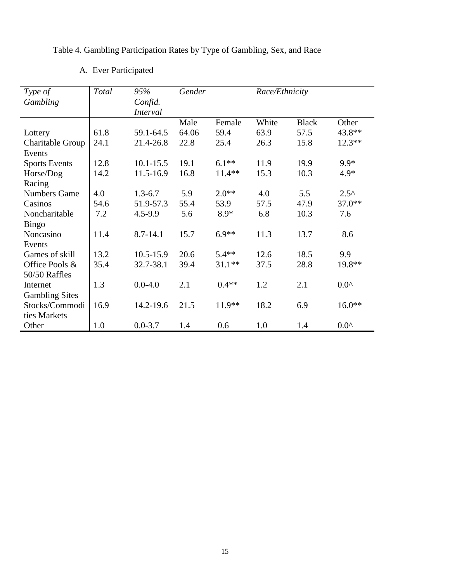Table 4. Gambling Participation Rates by Type of Gambling, Sex, and Race

| Type of               | Total | 95%             | Gender |          | Race/Ethnicity |              |                |
|-----------------------|-------|-----------------|--------|----------|----------------|--------------|----------------|
| Gambling              |       | Confid.         |        |          |                |              |                |
|                       |       | <b>Interval</b> |        |          |                |              |                |
|                       |       |                 | Male   | Female   | White          | <b>Black</b> | Other          |
| Lottery               | 61.8  | 59.1-64.5       | 64.06  | 59.4     | 63.9           | 57.5         | 43.8**         |
| Charitable Group      | 24.1  | 21.4-26.8       | 22.8   | 25.4     | 26.3           | 15.8         | $12.3**$       |
| Events                |       |                 |        |          |                |              |                |
| <b>Sports Events</b>  | 12.8  | $10.1 - 15.5$   | 19.1   | $6.1**$  | 11.9           | 19.9         | $9.9*$         |
| Horse/Dog             | 14.2  | 11.5-16.9       | 16.8   | $11.4**$ | 15.3           | 10.3         | 4.9*           |
| Racing                |       |                 |        |          |                |              |                |
| <b>Numbers Game</b>   | 4.0   | $1.3 - 6.7$     | 5.9    | $2.0**$  | 4.0            | 5.5          | $2.5^{\wedge}$ |
| Casinos               | 54.6  | 51.9-57.3       | 55.4   | 53.9     | 57.5           | 47.9         | 37.0**         |
| Noncharitable         | 7.2   | 4.5-9.9         | 5.6    | $8.9*$   | 6.8            | 10.3         | 7.6            |
| Bingo                 |       |                 |        |          |                |              |                |
| Noncasino             | 11.4  | $8.7 - 14.1$    | 15.7   | $6.9**$  | 11.3           | 13.7         | 8.6            |
| Events                |       |                 |        |          |                |              |                |
| Games of skill        | 13.2  | 10.5-15.9       | 20.6   | $5.4**$  | 12.6           | 18.5         | 9.9            |
| Office Pools &        | 35.4  | 32.7-38.1       | 39.4   | $31.1**$ | 37.5           | 28.8         | 19.8**         |
| 50/50 Raffles         |       |                 |        |          |                |              |                |
| Internet              | 1.3   | $0.0 - 4.0$     | 2.1    | $0.4**$  | 1.2            | 2.1          | $0.0^{\prime}$ |
| <b>Gambling Sites</b> |       |                 |        |          |                |              |                |
| Stocks/Commodi        | 16.9  | 14.2-19.6       | 21.5   | 11.9**   | 18.2           | 6.9          | $16.0**$       |
| ties Markets          |       |                 |        |          |                |              |                |
| Other                 | 1.0   | $0.0 - 3.7$     | 1.4    | 0.6      | 1.0            | 1.4          | $0.0^{\prime}$ |

# A. Ever Participated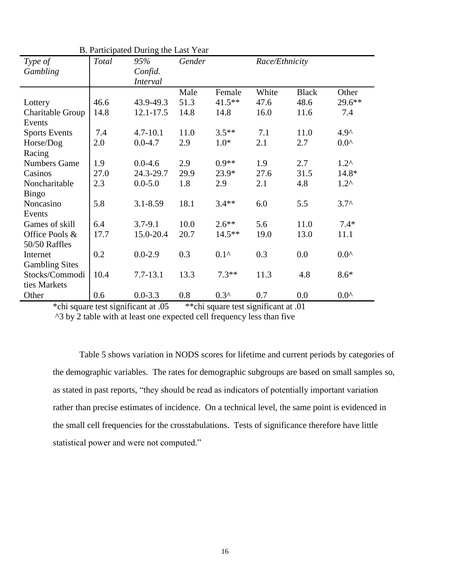| Type of               | Total | 95%             | Gender |                | Race/Ethnicity |              |                |
|-----------------------|-------|-----------------|--------|----------------|----------------|--------------|----------------|
| Gambling              |       | Confid.         |        |                |                |              |                |
|                       |       | <i>Interval</i> |        |                |                |              |                |
|                       |       |                 | Male   | Female         | White          | <b>Black</b> | Other          |
| Lottery               | 46.6  | 43.9-49.3       | 51.3   | $41.5***$      | 47.6           | 48.6         | 29.6**         |
| Charitable Group      | 14.8  | 12.1-17.5       | 14.8   | 14.8           | 16.0           | 11.6         | 7.4            |
| Events                |       |                 |        |                |                |              |                |
| <b>Sports Events</b>  | 7.4   | $4.7 - 10.1$    | 11.0   | $3.5**$        | 7.1            | 11.0         | $4.9^$         |
| Horse/Dog             | 2.0   | $0.0 - 4.7$     | 2.9    | $1.0*$         | 2.1            | 2.7          | $0.0^{\prime}$ |
| Racing                |       |                 |        |                |                |              |                |
| <b>Numbers Game</b>   | 1.9   | $0.0 - 4.6$     | 2.9    | $0.9**$        | 1.9            | 2.7          | $1.2^{\wedge}$ |
| Casinos               | 27.0  | 24.3-29.7       | 29.9   | 23.9*          | 27.6           | 31.5         | 14.8*          |
| Noncharitable         | 2.3   | $0.0 - 5.0$     | 1.8    | 2.9            | 2.1            | 4.8          | $1.2^{\prime}$ |
| <b>Bingo</b>          |       |                 |        |                |                |              |                |
| Noncasino             | 5.8   | $3.1 - 8.59$    | 18.1   | $3.4**$        | 6.0            | 5.5          | $3.7^{\circ}$  |
| Events                |       |                 |        |                |                |              |                |
| Games of skill        | 6.4   | $3.7 - 9.1$     | 10.0   | $2.6**$        | 5.6            | 11.0         | $7.4*$         |
| Office Pools &        | 17.7  | 15.0-20.4       | 20.7   | $14.5***$      | 19.0           | 13.0         | 11.1           |
| 50/50 Raffles         |       |                 |        |                |                |              |                |
| Internet              | 0.2   | $0.0 - 2.9$     | 0.3    | $0.1^{\prime}$ | 0.3            | 0.0          | $0.0^{\prime}$ |
| <b>Gambling Sites</b> |       |                 |        |                |                |              |                |
| Stocks/Commodi        | 10.4  | $7.7 - 13.1$    | 13.3   | $7.3**$        | 11.3           | 4.8          | $8.6*$         |
| ties Markets          |       |                 |        |                |                |              |                |
| Other                 | 0.6   | $0.0 - 3.3$     | 0.8    | $0.3^{\prime}$ | 0.7            | 0.0          | $0.0^{\prime}$ |

B. Participated During the Last Year

\*chi square test significant at .05 \*\*chi square test significant at .01

^3 by 2 table with at least one expected cell frequency less than five

Table 5 shows variation in NODS scores for lifetime and current periods by categories of the demographic variables. The rates for demographic subgroups are based on small samples so, as stated in past reports, "they should be read as indicators of potentially important variation rather than precise estimates of incidence. On a technical level, the same point is evidenced in the small cell frequencies for the crosstabulations. Tests of significance therefore have little statistical power and were not computed."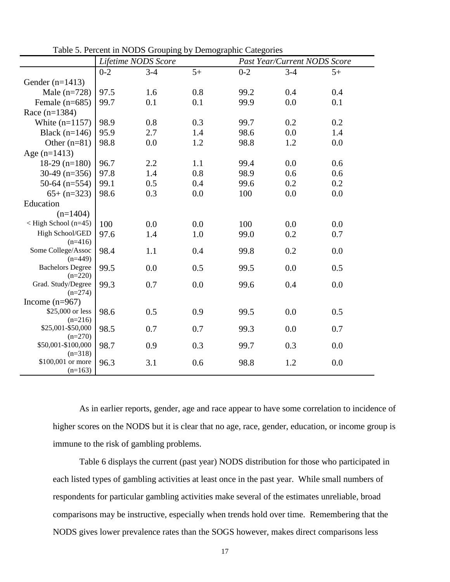|                                 |         | Lifetime NODS Score |      |         | Past Year/Current NODS Score |      |
|---------------------------------|---------|---------------------|------|---------|------------------------------|------|
|                                 | $0 - 2$ | $3 - 4$             | $5+$ | $0 - 2$ | $3 - 4$                      | $5+$ |
| Gender $(n=1413)$               |         |                     |      |         |                              |      |
| Male $(n=728)$                  | 97.5    | 1.6                 | 0.8  | 99.2    | 0.4                          | 0.4  |
| Female $(n=685)$                | 99.7    | 0.1                 | 0.1  | 99.9    | 0.0                          | 0.1  |
| Race $(n=1384)$                 |         |                     |      |         |                              |      |
| White $(n=1157)$                | 98.9    | 0.8                 | 0.3  | 99.7    | 0.2                          | 0.2  |
| Black $(n=146)$                 | 95.9    | 2.7                 | 1.4  | 98.6    | 0.0                          | 1.4  |
| Other $(n=81)$                  | 98.8    | 0.0                 | 1.2  | 98.8    | 1.2                          | 0.0  |
| Age $(n=1413)$                  |         |                     |      |         |                              |      |
| $18-29$ (n=180)                 | 96.7    | 2.2                 | 1.1  | 99.4    | 0.0                          | 0.6  |
| $30-49$ (n=356)                 | 97.8    | 1.4                 | 0.8  | 98.9    | 0.6                          | 0.6  |
| 50-64 $(n=554)$                 | 99.1    | 0.5                 | 0.4  | 99.6    | 0.2                          | 0.2  |
| $65 + (n=323)$                  | 98.6    | 0.3                 | 0.0  | 100     | 0.0                          | 0.0  |
| Education                       |         |                     |      |         |                              |      |
| $(n=1404)$                      |         |                     |      |         |                              |      |
| $\langle$ High School (n=45)    | 100     | 0.0                 | 0.0  | 100     | 0.0                          | 0.0  |
| High School/GED                 | 97.6    | 1.4                 | 1.0  | 99.0    | 0.2                          | 0.7  |
| $(n=416)$                       |         |                     |      |         |                              |      |
| Some College/Assoc<br>$(n=449)$ | 98.4    | 1.1                 | 0.4  | 99.8    | 0.2                          | 0.0  |
| <b>Bachelors Degree</b>         | 99.5    | 0.0                 | 0.5  | 99.5    | 0.0                          | 0.5  |
| $(n=220)$                       |         |                     |      |         |                              |      |
| Grad. Study/Degree              | 99.3    | 0.7                 | 0.0  | 99.6    | 0.4                          | 0.0  |
| $(n=274)$                       |         |                     |      |         |                              |      |
| Income $(n=967)$                |         |                     |      |         |                              |      |
| \$25,000 or less<br>$(n=216)$   | 98.6    | 0.5                 | 0.9  | 99.5    | 0.0                          | 0.5  |
| \$25,001-\$50,000               | 98.5    | 0.7                 | 0.7  | 99.3    | 0.0                          | 0.7  |
| $(n=270)$                       |         |                     |      |         |                              |      |
| \$50,001-\$100,000              | 98.7    | 0.9                 | 0.3  | 99.7    | 0.3                          | 0.0  |
| $(n=318)$                       |         |                     |      |         |                              |      |
| \$100,001 or more<br>$(n=163)$  | 96.3    | 3.1                 | 0.6  | 98.8    | 1.2                          | 0.0  |

Table 5. Percent in NODS Grouping by Demographic Categories

As in earlier reports, gender, age and race appear to have some correlation to incidence of higher scores on the NODS but it is clear that no age, race, gender, education, or income group is immune to the risk of gambling problems.

Table 6 displays the current (past year) NODS distribution for those who participated in each listed types of gambling activities at least once in the past year. While small numbers of respondents for particular gambling activities make several of the estimates unreliable, broad comparisons may be instructive, especially when trends hold over time. Remembering that the NODS gives lower prevalence rates than the SOGS however, makes direct comparisons less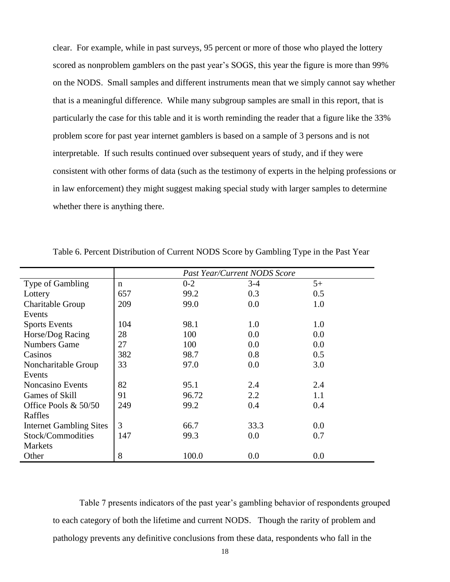clear. For example, while in past surveys, 95 percent or more of those who played the lottery scored as nonproblem gamblers on the past year's SOGS, this year the figure is more than 99% on the NODS. Small samples and different instruments mean that we simply cannot say whether that is a meaningful difference. While many subgroup samples are small in this report, that is particularly the case for this table and it is worth reminding the reader that a figure like the 33% problem score for past year internet gamblers is based on a sample of 3 persons and is not interpretable. If such results continued over subsequent years of study, and if they were consistent with other forms of data (such as the testimony of experts in the helping professions or in law enforcement) they might suggest making special study with larger samples to determine whether there is anything there.

|                                | <b>Past Year/Current NODS Score</b> |         |       |      |  |  |
|--------------------------------|-------------------------------------|---------|-------|------|--|--|
| Type of Gambling               | n                                   | $0 - 2$ | $3-4$ | $5+$ |  |  |
| Lottery                        | 657                                 | 99.2    | 0.3   | 0.5  |  |  |
| Charitable Group               | 209                                 | 99.0    | 0.0   | 1.0  |  |  |
| Events                         |                                     |         |       |      |  |  |
| <b>Sports Events</b>           | 104                                 | 98.1    | 1.0   | 1.0  |  |  |
| Horse/Dog Racing               | 28                                  | 100     | 0.0   | 0.0  |  |  |
| <b>Numbers Game</b>            | 27                                  | 100     | 0.0   | 0.0  |  |  |
| Casinos                        | 382                                 | 98.7    | 0.8   | 0.5  |  |  |
| Noncharitable Group            | 33                                  | 97.0    | 0.0   | 3.0  |  |  |
| Events                         |                                     |         |       |      |  |  |
| <b>Noncasino Events</b>        | 82                                  | 95.1    | 2.4   | 2.4  |  |  |
| Games of Skill                 | 91                                  | 96.72   | 2.2   | 1.1  |  |  |
| Office Pools $& 50/50$         | 249                                 | 99.2    | 0.4   | 0.4  |  |  |
| Raffles                        |                                     |         |       |      |  |  |
| <b>Internet Gambling Sites</b> | 3                                   | 66.7    | 33.3  | 0.0  |  |  |
| Stock/Commodities              | 147                                 | 99.3    | 0.0   | 0.7  |  |  |
| <b>Markets</b>                 |                                     |         |       |      |  |  |
| Other                          | 8                                   | 100.0   | 0.0   | 0.0  |  |  |

Table 6. Percent Distribution of Current NODS Score by Gambling Type in the Past Year

Table 7 presents indicators of the past year's gambling behavior of respondents grouped to each category of both the lifetime and current NODS. Though the rarity of problem and pathology prevents any definitive conclusions from these data, respondents who fall in the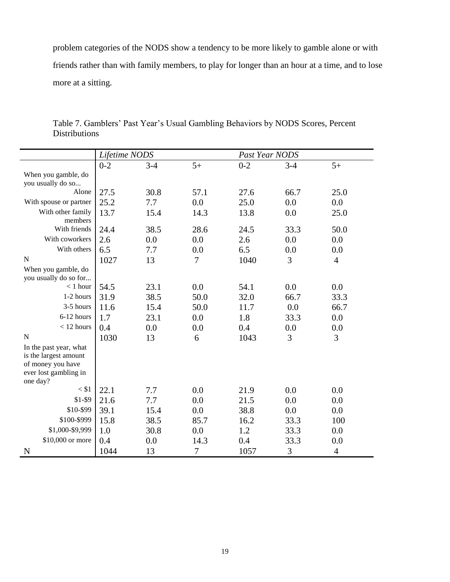problem categories of the NODS show a tendency to be more likely to gamble alone or with friends rather than with family members, to play for longer than an hour at a time, and to lose more at a sitting.

|                                                                                               | Lifetime NODS |         |                | Past Year NODS |         |                |
|-----------------------------------------------------------------------------------------------|---------------|---------|----------------|----------------|---------|----------------|
|                                                                                               | $0 - 2$       | $3 - 4$ | $5+$           | $0 - 2$        | $3 - 4$ | $5+$           |
| When you gamble, do                                                                           |               |         |                |                |         |                |
| you usually do so                                                                             |               |         |                |                |         |                |
| Alone                                                                                         | 27.5          | 30.8    | 57.1           | 27.6           | 66.7    | 25.0           |
| With spouse or partner                                                                        | 25.2          | 7.7     | 0.0            | 25.0           | 0.0     | 0.0            |
| With other family<br>members                                                                  | 13.7          | 15.4    | 14.3           | 13.8           | 0.0     | 25.0           |
| With friends                                                                                  | 24.4          | 38.5    | 28.6           | 24.5           | 33.3    | 50.0           |
| With coworkers                                                                                | 2.6           | 0.0     | 0.0            | 2.6            | 0.0     | 0.0            |
| With others                                                                                   | 6.5           | 7.7     | 0.0            | 6.5            | 0.0     | 0.0            |
| N                                                                                             | 1027          | 13      | $\overline{7}$ | 1040           | 3       | $\overline{4}$ |
| When you gamble, do<br>you usually do so for                                                  |               |         |                |                |         |                |
| $<$ 1 hour                                                                                    | 54.5          | 23.1    | 0.0            | 54.1           | 0.0     | 0.0            |
| 1-2 hours                                                                                     | 31.9          | 38.5    | 50.0           | 32.0           | 66.7    | 33.3           |
| 3-5 hours                                                                                     | 11.6          | 15.4    | 50.0           | 11.7           | 0.0     | 66.7           |
| 6-12 hours                                                                                    | 1.7           | 23.1    | 0.0            | 1.8            | 33.3    | 0.0            |
| $<$ 12 hours                                                                                  | 0.4           | 0.0     | 0.0            | 0.4            | 0.0     | 0.0            |
| $\mathbf N$                                                                                   | 1030          | 13      | 6              | 1043           | 3       | 3              |
| In the past year, what<br>is the largest amount<br>of money you have<br>ever lost gambling in |               |         |                |                |         |                |
| one day?<br>$<$ \$1                                                                           |               |         |                |                |         |                |
|                                                                                               | 22.1          | 7.7     | 0.0            | 21.9           | 0.0     | 0.0            |
| $$1-$9$                                                                                       | 21.6          | 7.7     | 0.0            | 21.5           | 0.0     | 0.0            |
| \$10-\$99                                                                                     | 39.1          | 15.4    | 0.0            | 38.8           | 0.0     | 0.0            |
| \$100-\$999                                                                                   | 15.8          | 38.5    | 85.7           | 16.2           | 33.3    | 100            |
| \$1,000-\$9,999                                                                               | 1.0           | 30.8    | 0.0            | 1.2            | 33.3    | 0.0            |
| \$10,000 or more                                                                              | 0.4           | 0.0     | 14.3           | 0.4            | 33.3    | 0.0            |
| N                                                                                             | 1044          | 13      | $\overline{7}$ | 1057           | 3       | $\overline{4}$ |

Table 7. Gamblers' Past Year's Usual Gambling Behaviors by NODS Scores, Percent Distributions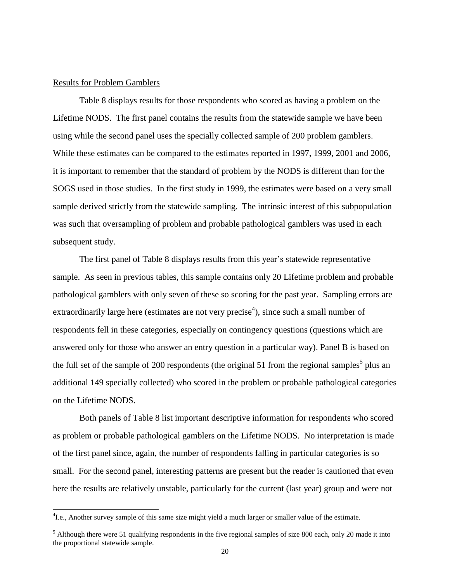#### Results for Problem Gamblers

 $\overline{a}$ 

Table 8 displays results for those respondents who scored as having a problem on the Lifetime NODS. The first panel contains the results from the statewide sample we have been using while the second panel uses the specially collected sample of 200 problem gamblers. While these estimates can be compared to the estimates reported in 1997, 1999, 2001 and 2006, it is important to remember that the standard of problem by the NODS is different than for the SOGS used in those studies. In the first study in 1999, the estimates were based on a very small sample derived strictly from the statewide sampling. The intrinsic interest of this subpopulation was such that oversampling of problem and probable pathological gamblers was used in each subsequent study.

The first panel of Table 8 displays results from this year's statewide representative sample. As seen in previous tables, this sample contains only 20 Lifetime problem and probable pathological gamblers with only seven of these so scoring for the past year. Sampling errors are extraordinarily large here (estimates are not very precise<sup>4</sup>), since such a small number of respondents fell in these categories, especially on contingency questions (questions which are answered only for those who answer an entry question in a particular way). Panel B is based on the full set of the sample of 200 respondents (the original 51 from the regional samples<sup>5</sup> plus an additional 149 specially collected) who scored in the problem or probable pathological categories on the Lifetime NODS.

Both panels of Table 8 list important descriptive information for respondents who scored as problem or probable pathological gamblers on the Lifetime NODS. No interpretation is made of the first panel since, again, the number of respondents falling in particular categories is so small. For the second panel, interesting patterns are present but the reader is cautioned that even here the results are relatively unstable, particularly for the current (last year) group and were not

<sup>&</sup>lt;sup>4</sup> I.e., Another survey sample of this same size might yield a much larger or smaller value of the estimate.

 $5$  Although there were 51 qualifying respondents in the five regional samples of size 800 each, only 20 made it into the proportional statewide sample.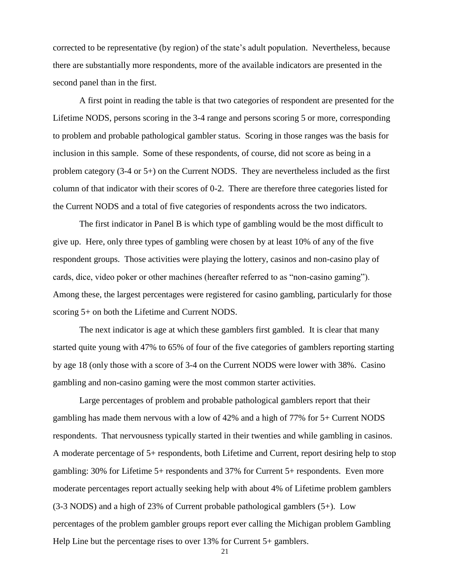corrected to be representative (by region) of the state's adult population. Nevertheless, because there are substantially more respondents, more of the available indicators are presented in the second panel than in the first.

A first point in reading the table is that two categories of respondent are presented for the Lifetime NODS, persons scoring in the 3-4 range and persons scoring 5 or more, corresponding to problem and probable pathological gambler status. Scoring in those ranges was the basis for inclusion in this sample. Some of these respondents, of course, did not score as being in a problem category (3-4 or 5+) on the Current NODS. They are nevertheless included as the first column of that indicator with their scores of 0-2. There are therefore three categories listed for the Current NODS and a total of five categories of respondents across the two indicators.

The first indicator in Panel B is which type of gambling would be the most difficult to give up. Here, only three types of gambling were chosen by at least 10% of any of the five respondent groups. Those activities were playing the lottery, casinos and non-casino play of cards, dice, video poker or other machines (hereafter referred to as "non-casino gaming"). Among these, the largest percentages were registered for casino gambling, particularly for those scoring 5+ on both the Lifetime and Current NODS.

The next indicator is age at which these gamblers first gambled. It is clear that many started quite young with 47% to 65% of four of the five categories of gamblers reporting starting by age 18 (only those with a score of 3-4 on the Current NODS were lower with 38%. Casino gambling and non-casino gaming were the most common starter activities.

Large percentages of problem and probable pathological gamblers report that their gambling has made them nervous with a low of 42% and a high of 77% for 5+ Current NODS respondents. That nervousness typically started in their twenties and while gambling in casinos. A moderate percentage of 5+ respondents, both Lifetime and Current, report desiring help to stop gambling: 30% for Lifetime 5+ respondents and 37% for Current 5+ respondents. Even more moderate percentages report actually seeking help with about 4% of Lifetime problem gamblers (3-3 NODS) and a high of 23% of Current probable pathological gamblers (5+). Low percentages of the problem gambler groups report ever calling the Michigan problem Gambling Help Line but the percentage rises to over 13% for Current 5+ gamblers.

21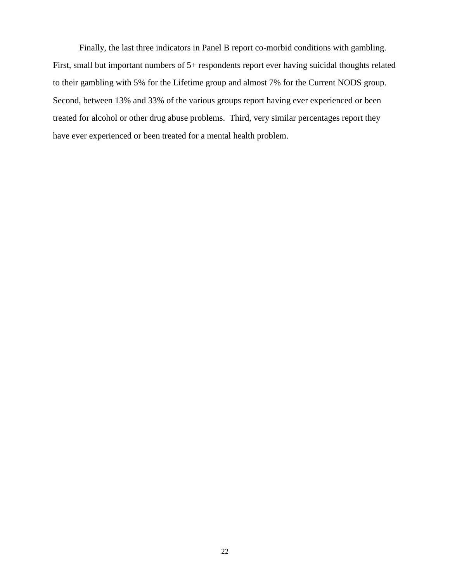Finally, the last three indicators in Panel B report co-morbid conditions with gambling. First, small but important numbers of 5+ respondents report ever having suicidal thoughts related to their gambling with 5% for the Lifetime group and almost 7% for the Current NODS group. Second, between 13% and 33% of the various groups report having ever experienced or been treated for alcohol or other drug abuse problems. Third, very similar percentages report they have ever experienced or been treated for a mental health problem.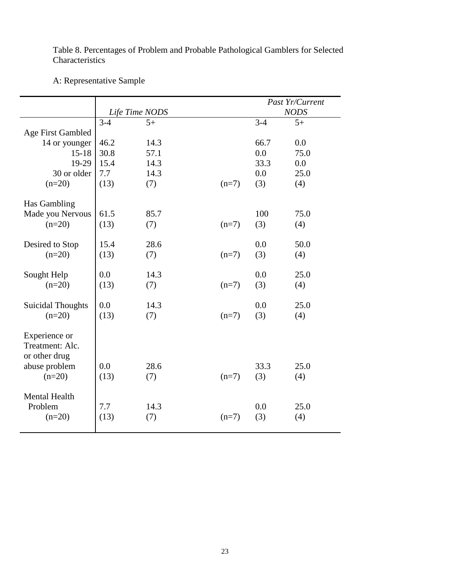Table 8. Percentages of Problem and Probable Pathological Gamblers for Selected Characteristics

## A: Representative Sample

|                                                   |                |      | Past Yr/Current |         |             |
|---------------------------------------------------|----------------|------|-----------------|---------|-------------|
|                                                   | Life Time NODS |      |                 |         | <b>NODS</b> |
|                                                   | $3 - 4$        | $5+$ |                 | $3 - 4$ | $5+$        |
| <b>Age First Gambled</b>                          |                |      |                 |         |             |
| 14 or younger                                     | 46.2           | 14.3 |                 | 66.7    | 0.0         |
| $15 - 18$                                         | 30.8           | 57.1 |                 | 0.0     | 75.0        |
| 19-29                                             | 15.4           | 14.3 |                 | 33.3    | 0.0         |
| 30 or older                                       | 7.7            | 14.3 |                 | 0.0     | 25.0        |
| $(n=20)$                                          | (13)           | (7)  | $(n=7)$         | (3)     | (4)         |
| Has Gambling                                      |                |      |                 |         |             |
| Made you Nervous                                  | 61.5           | 85.7 |                 | 100     | 75.0        |
| $(n=20)$                                          | (13)           | (7)  | $(n=7)$         | (3)     | (4)         |
| Desired to Stop                                   | 15.4           | 28.6 |                 | 0.0     | 50.0        |
| $(n=20)$                                          | (13)           | (7)  | $(n=7)$         | (3)     | (4)         |
| Sought Help                                       | 0.0            | 14.3 |                 | 0.0     | 25.0        |
| $(n=20)$                                          | (13)           | (7)  | $(n=7)$         | (3)     | (4)         |
| <b>Suicidal Thoughts</b>                          | 0.0            | 14.3 |                 | 0.0     | 25.0        |
| $(n=20)$                                          | (13)           | (7)  | $(n=7)$         | (3)     | (4)         |
| Experience or<br>Treatment: Alc.<br>or other drug |                |      |                 |         |             |
| abuse problem                                     | 0.0            | 28.6 |                 | 33.3    | 25.0        |
| $(n=20)$                                          | (13)           | (7)  | $(n=7)$         | (3)     | (4)         |
|                                                   |                |      |                 |         |             |
| <b>Mental Health</b>                              |                |      |                 |         |             |
| Problem                                           | 7.7            | 14.3 |                 | 0.0     | 25.0        |
| $(n=20)$                                          | (13)           | (7)  | $(n=7)$         | (3)     | (4)         |
|                                                   |                |      |                 |         |             |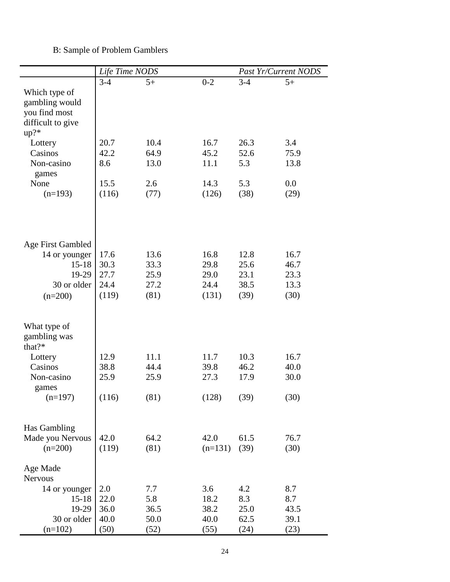## B: Sample of Problem Gamblers

|                                                                                  | Life Time NODS |      |           | Past Yr/Current NODS |      |
|----------------------------------------------------------------------------------|----------------|------|-----------|----------------------|------|
|                                                                                  | $3 - 4$        | $5+$ | $0 - 2$   | $3-4$                | $5+$ |
| Which type of<br>gambling would<br>you find most<br>difficult to give<br>$up?$ * |                |      |           |                      |      |
| Lottery                                                                          | 20.7           | 10.4 | 16.7      | 26.3                 | 3.4  |
| Casinos                                                                          | 42.2           | 64.9 | 45.2      | 52.6                 | 75.9 |
| Non-casino<br>games                                                              | 8.6            | 13.0 | 11.1      | 5.3                  | 13.8 |
| None                                                                             | 15.5           | 2.6  | 14.3      | 5.3                  | 0.0  |
| $(n=193)$                                                                        | (116)          | (77) | (126)     | (38)                 | (29) |
| <b>Age First Gambled</b>                                                         |                |      |           |                      |      |
| 14 or younger                                                                    | 17.6           | 13.6 | 16.8      | 12.8                 | 16.7 |
| $15 - 18$                                                                        | 30.3           | 33.3 | 29.8      | 25.6                 | 46.7 |
| 19-29                                                                            | 27.7           | 25.9 | 29.0      | 23.1                 | 23.3 |
| 30 or older                                                                      | 24.4           | 27.2 | 24.4      | 38.5                 | 13.3 |
| $(n=200)$                                                                        | (119)          | (81) | (131)     | (39)                 | (30) |
| What type of<br>gambling was<br>that?*                                           |                |      |           |                      |      |
| Lottery                                                                          | 12.9           | 11.1 | 11.7      | 10.3                 | 16.7 |
| Casinos                                                                          | 38.8           | 44.4 | 39.8      | 46.2                 | 40.0 |
| Non-casino<br>games                                                              | 25.9           | 25.9 | 27.3      | 17.9                 | 30.0 |
| $(n=197)$                                                                        | (116)          | (81) | (128)     | (39)                 | (30) |
| Has Gambling<br>Made you Nervous                                                 | 42.0           | 64.2 | 42.0      | 61.5                 | 76.7 |
| $(n=200)$                                                                        | (119)          | (81) | $(n=131)$ | (39)                 | (30) |
| Age Made<br><b>Nervous</b>                                                       |                |      |           |                      |      |
| 14 or younger                                                                    | 2.0            | 7.7  | 3.6       | 4.2                  | 8.7  |
| $15 - 18$                                                                        | 22.0           | 5.8  | 18.2      | 8.3                  | 8.7  |
| 19-29                                                                            | 36.0           | 36.5 | 38.2      | 25.0                 | 43.5 |
| 30 or older                                                                      | 40.0           | 50.0 | 40.0      | 62.5                 | 39.1 |
| $(n=102)$                                                                        | (50)           | (52) | (55)      | (24)                 | (23) |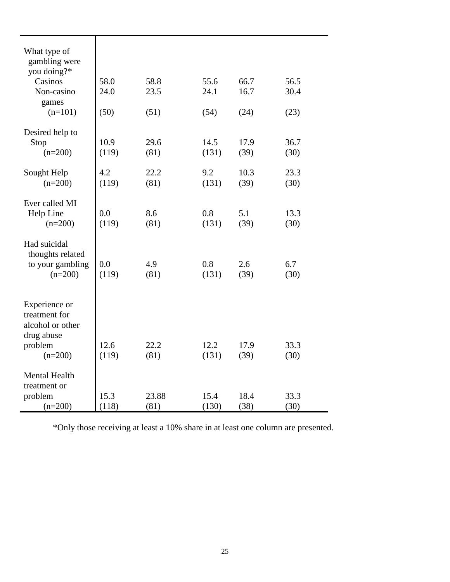| What type of<br>gambling were<br>you doing?*<br>Casinos<br>Non-casino<br>games<br>$(n=101)$ | 58.0<br>24.0<br>(50) | 58.8<br>23.5<br>(51) | 55.6<br>24.1<br>(54) | 66.7<br>16.7<br>(24) | 56.5<br>30.4<br>(23) |
|---------------------------------------------------------------------------------------------|----------------------|----------------------|----------------------|----------------------|----------------------|
| Desired help to<br>Stop<br>$(n=200)$                                                        | 10.9<br>(119)        | 29.6<br>(81)         | 14.5<br>(131)        | 17.9<br>(39)         | 36.7<br>(30)         |
| Sought Help<br>$(n=200)$                                                                    | 4.2<br>(119)         | 22.2<br>(81)         | 9.2<br>(131)         | 10.3<br>(39)         | 23.3<br>(30)         |
| Ever called MI<br>Help Line<br>$(n=200)$                                                    | 0.0<br>(119)         | 8.6<br>(81)          | 0.8<br>(131)         | 5.1<br>(39)          | 13.3<br>(30)         |
| Had suicidal<br>thoughts related<br>to your gambling<br>$(n=200)$                           | 0.0<br>(119)         | 4.9<br>(81)          | 0.8<br>(131)         | 2.6<br>(39)          | 6.7<br>(30)          |
| Experience or<br>treatment for<br>alcohol or other<br>drug abuse<br>problem                 | 12.6                 | 22.2                 | 12.2                 | 17.9                 | 33.3                 |
| $(n=200)$<br>Mental Health<br>treatment or                                                  | (119)                | (81)                 | (131)                | (39)                 | (30)                 |
| problem<br>$(n=200)$                                                                        | 15.3<br>(118)        | 23.88<br>(81)        | 15.4<br>(130)        | 18.4<br>(38)         | 33.3<br>(30)         |

\*Only those receiving at least a 10% share in at least one column are presented.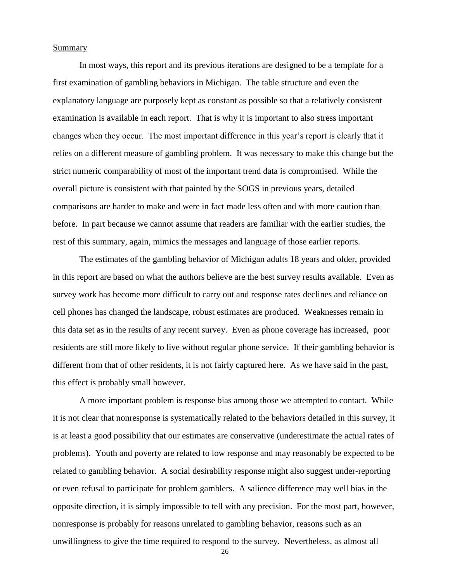#### **Summary**

In most ways, this report and its previous iterations are designed to be a template for a first examination of gambling behaviors in Michigan. The table structure and even the explanatory language are purposely kept as constant as possible so that a relatively consistent examination is available in each report. That is why it is important to also stress important changes when they occur. The most important difference in this year's report is clearly that it relies on a different measure of gambling problem. It was necessary to make this change but the strict numeric comparability of most of the important trend data is compromised. While the overall picture is consistent with that painted by the SOGS in previous years, detailed comparisons are harder to make and were in fact made less often and with more caution than before. In part because we cannot assume that readers are familiar with the earlier studies, the rest of this summary, again, mimics the messages and language of those earlier reports.

The estimates of the gambling behavior of Michigan adults 18 years and older, provided in this report are based on what the authors believe are the best survey results available. Even as survey work has become more difficult to carry out and response rates declines and reliance on cell phones has changed the landscape, robust estimates are produced. Weaknesses remain in this data set as in the results of any recent survey. Even as phone coverage has increased, poor residents are still more likely to live without regular phone service. If their gambling behavior is different from that of other residents, it is not fairly captured here. As we have said in the past, this effect is probably small however.

A more important problem is response bias among those we attempted to contact. While it is not clear that nonresponse is systematically related to the behaviors detailed in this survey, it is at least a good possibility that our estimates are conservative (underestimate the actual rates of problems). Youth and poverty are related to low response and may reasonably be expected to be related to gambling behavior. A social desirability response might also suggest under-reporting or even refusal to participate for problem gamblers. A salience difference may well bias in the opposite direction, it is simply impossible to tell with any precision. For the most part, however, nonresponse is probably for reasons unrelated to gambling behavior, reasons such as an unwillingness to give the time required to respond to the survey. Nevertheless, as almost all

26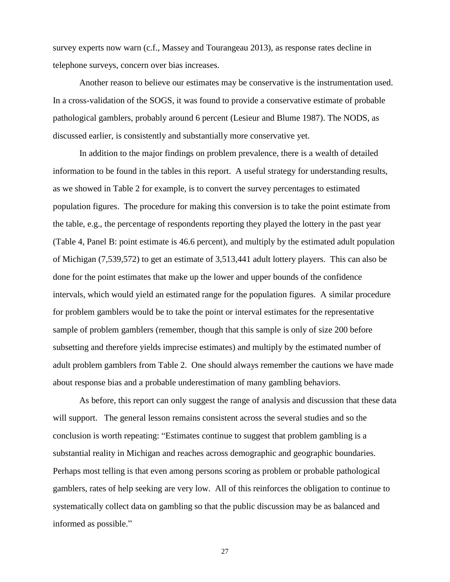survey experts now warn (c.f., Massey and Tourangeau 2013), as response rates decline in telephone surveys, concern over bias increases.

Another reason to believe our estimates may be conservative is the instrumentation used. In a cross-validation of the SOGS, it was found to provide a conservative estimate of probable pathological gamblers, probably around 6 percent (Lesieur and Blume 1987). The NODS, as discussed earlier, is consistently and substantially more conservative yet.

In addition to the major findings on problem prevalence, there is a wealth of detailed information to be found in the tables in this report. A useful strategy for understanding results, as we showed in Table 2 for example, is to convert the survey percentages to estimated population figures. The procedure for making this conversion is to take the point estimate from the table, e.g., the percentage of respondents reporting they played the lottery in the past year (Table 4, Panel B: point estimate is 46.6 percent), and multiply by the estimated adult population of Michigan (7,539,572) to get an estimate of 3,513,441 adult lottery players. This can also be done for the point estimates that make up the lower and upper bounds of the confidence intervals, which would yield an estimated range for the population figures. A similar procedure for problem gamblers would be to take the point or interval estimates for the representative sample of problem gamblers (remember, though that this sample is only of size 200 before subsetting and therefore yields imprecise estimates) and multiply by the estimated number of adult problem gamblers from Table 2. One should always remember the cautions we have made about response bias and a probable underestimation of many gambling behaviors.

As before, this report can only suggest the range of analysis and discussion that these data will support. The general lesson remains consistent across the several studies and so the conclusion is worth repeating: "Estimates continue to suggest that problem gambling is a substantial reality in Michigan and reaches across demographic and geographic boundaries. Perhaps most telling is that even among persons scoring as problem or probable pathological gamblers, rates of help seeking are very low. All of this reinforces the obligation to continue to systematically collect data on gambling so that the public discussion may be as balanced and informed as possible."

27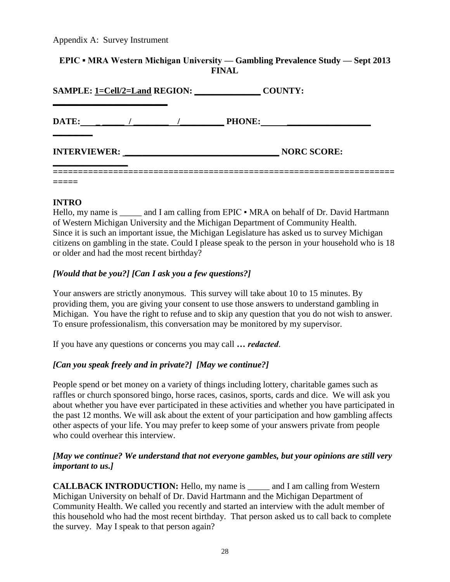Appendix A: Survey Instrument

## **EPIC ▪ MRA Western Michigan University –– Gambling Prevalence Study –– Sept 2013 FINAL**

| <b>SAMPLE: 1=Cell/2=Land REGION:</b> |  |  | <b>COUNTY:</b> |                    |  |
|--------------------------------------|--|--|----------------|--------------------|--|
| DATE:                                |  |  | <b>PHONE:</b>  |                    |  |
| <b>INTERVIEWER:</b>                  |  |  |                | <b>NORC SCORE:</b> |  |
|                                      |  |  |                |                    |  |

## **INTRO**

Hello, my name is \_\_\_\_\_\_ and I am calling from EPIC • MRA on behalf of Dr. David Hartmann of Western Michigan University and the Michigan Department of Community Health. Since it is such an important issue, the Michigan Legislature has asked us to survey Michigan citizens on gambling in the state. Could I please speak to the person in your household who is 18 or older and had the most recent birthday?

## *[Would that be you?] [Can I ask you a few questions?]*

Your answers are strictly anonymous. This survey will take about 10 to 15 minutes. By providing them, you are giving your consent to use those answers to understand gambling in Michigan. You have the right to refuse and to skip any question that you do not wish to answer. To ensure professionalism, this conversation may be monitored by my supervisor.

If you have any questions or concerns you may call *… redacted*.

## *[Can you speak freely and in private?] [May we continue?]*

People spend or bet money on a variety of things including lottery, charitable games such as raffles or church sponsored bingo, horse races, casinos, sports, cards and dice. We will ask you about whether you have ever participated in these activities and whether you have participated in the past 12 months. We will ask about the extent of your participation and how gambling affects other aspects of your life. You may prefer to keep some of your answers private from people who could overhear this interview.

## *[May we continue? We understand that not everyone gambles, but your opinions are still very important to us.]*

**CALLBACK INTRODUCTION:** Hello, my name is \_\_\_\_\_ and I am calling from Western Michigan University on behalf of Dr. David Hartmann and the Michigan Department of Community Health. We called you recently and started an interview with the adult member of this household who had the most recent birthday. That person asked us to call back to complete the survey. May I speak to that person again?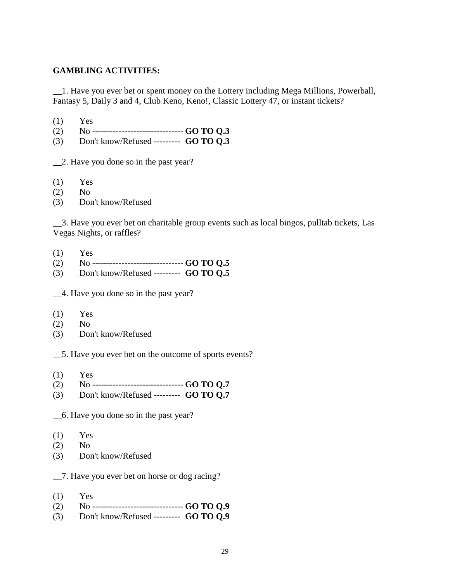## **GAMBLING ACTIVITIES:**

\_\_1. Have you ever bet or spent money on the Lottery including Mega Millions, Powerball, Fantasy 5, Daily 3 and 4, Club Keno, Keno!, Classic Lottery 47, or instant tickets?

- (1) Yes
- (2) No ------------------------------- **GO TO Q.3**
- (3) Don't know/Refused --------- **GO TO Q.3**

\_\_2. Have you done so in the past year?

- $(1)$  Yes
- (2) No
- (3) Don't know/Refused

\_\_3. Have you ever bet on charitable group events such as local bingos, pulltab tickets, Las Vegas Nights, or raffles?

- (1) Yes
- (2) No ------------------------------- **GO TO Q.5**
- (3) Don't know/Refused --------- **GO TO Q.5**

\_\_4. Have you done so in the past year?

- (1) Yes
- (2) No
- (3) Don't know/Refused

\_\_5. Have you ever bet on the outcome of sports events?

- $(1)$  Yes
- (2) No ------------------------------- **GO TO Q.7**
- (3) Don't know/Refused --------- **GO TO Q.7**

\_\_6. Have you done so in the past year?

- (1) Yes
- (2) No
- (3) Don't know/Refused

\_\_7. Have you ever bet on horse or dog racing?

- (1) Yes
- (2) No ------------------------------- **GO TO Q.9**
- (3) Don't know/Refused --------- **GO TO Q.9**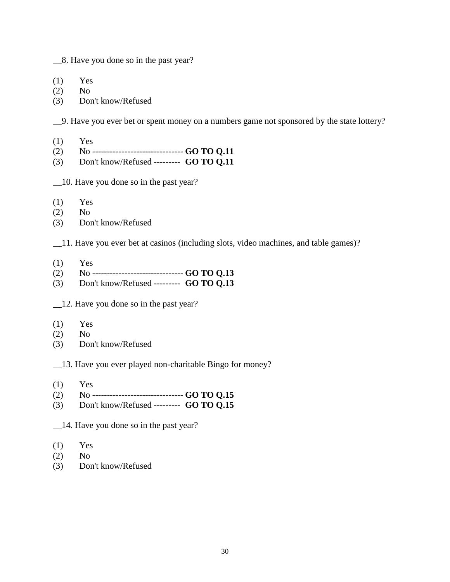\_\_8. Have you done so in the past year?

(1) Yes

- (2) No
- (3) Don't know/Refused

\_\_9. Have you ever bet or spent money on a numbers game not sponsored by the state lottery?

- (1) Yes
- (2) No ------------------------------- **GO TO Q.11**
- (3) Don't know/Refused --------- **GO TO Q.11**
- \_\_10. Have you done so in the past year?
- (1) Yes
- (2) No
- (3) Don't know/Refused

\_\_11. Have you ever bet at casinos (including slots, video machines, and table games)?

- $(1)$  Yes
- (2) No ------------------------------- **GO TO Q.13**
- (3) Don't know/Refused --------- **GO TO Q.13**
- \_\_12. Have you done so in the past year?
- $(1)$  Yes
- (2) No
- (3) Don't know/Refused

\_\_13. Have you ever played non-charitable Bingo for money?

- $(1)$  Yes
- (2) No ------------------------------- **GO TO Q.15**
- (3) Don't know/Refused --------- **GO TO Q.15**

\_\_14. Have you done so in the past year?

- $(1)$  Yes
- (2) No
- (3) Don't know/Refused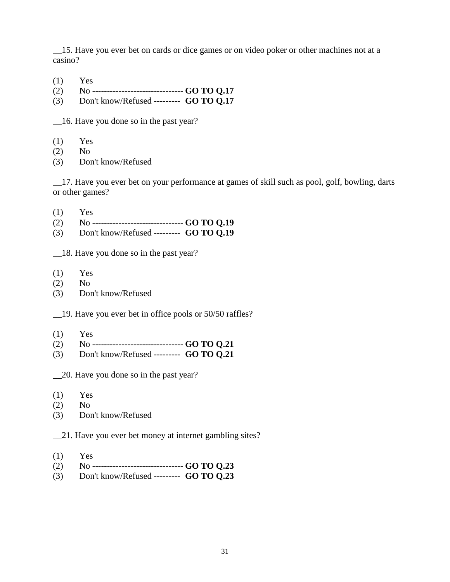\_\_15. Have you ever bet on cards or dice games or on video poker or other machines not at a casino?

- (1) Yes
- (2) No ------------------------------- **GO TO Q.17**
- (3) Don't know/Refused --------- **GO TO Q.17**

\_\_16. Have you done so in the past year?

- (1) Yes
- (2) No
- (3) Don't know/Refused

\_\_17. Have you ever bet on your performance at games of skill such as pool, golf, bowling, darts or other games?

- (1) Yes
- (2) No ------------------------------- **GO TO Q.19**
- (3) Don't know/Refused --------- **GO TO Q.19**
- \_\_18. Have you done so in the past year?
- $(1)$  Yes
- $(2)$  No
- (3) Don't know/Refused

\_\_19. Have you ever bet in office pools or 50/50 raffles?

- (1) Yes
- (2) No ------------------------------- **GO TO Q.21**
- (3) Don't know/Refused --------- **GO TO Q.21**
- \_\_20. Have you done so in the past year?
- (1) Yes
- (2) No
- (3) Don't know/Refused
- \_\_21. Have you ever bet money at internet gambling sites?
- (1) Yes
- (2) No ------------------------------- **GO TO Q.23**
- (3) Don't know/Refused --------- **GO TO Q.23**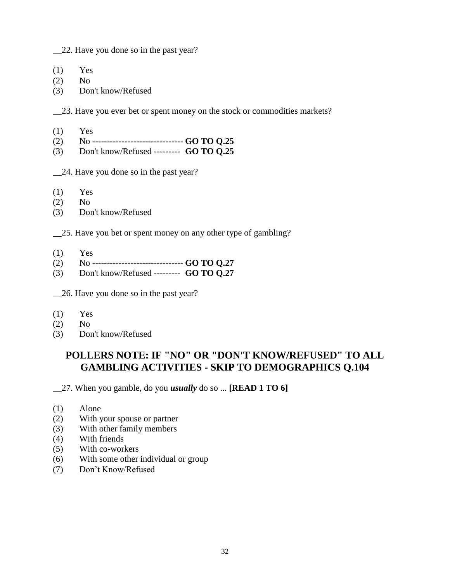\_\_22. Have you done so in the past year?

- $(1)$  Yes
- (2) No
- (3) Don't know/Refused

\_\_23. Have you ever bet or spent money on the stock or commodities markets?

- $(1)$  Yes
- (2) No ------------------------------- **GO TO Q.25**
- (3) Don't know/Refused --------- **GO TO Q.25**
- \_\_24. Have you done so in the past year?
- $(1)$  Yes
- (2) No
- (3) Don't know/Refused
- \_\_25. Have you bet or spent money on any other type of gambling?
- $(1)$  Yes
- (2) No ------------------------------- **GO TO Q.27**
- (3) Don't know/Refused --------- **GO TO Q.27**

\_\_26. Have you done so in the past year?

- (1) Yes
- (2) No
- (3) Don't know/Refused

## **POLLERS NOTE: IF "NO" OR "DON'T KNOW/REFUSED" TO ALL GAMBLING ACTIVITIES - SKIP TO DEMOGRAPHICS Q.104**

\_\_27. When you gamble, do you *usually* do so ... **[READ 1 TO 6]**

- (1) Alone
- (2) With your spouse or partner
- (3) With other family members
- (4) With friends
- (5) With co-workers
- (6) With some other individual or group
- (7) Don't Know/Refused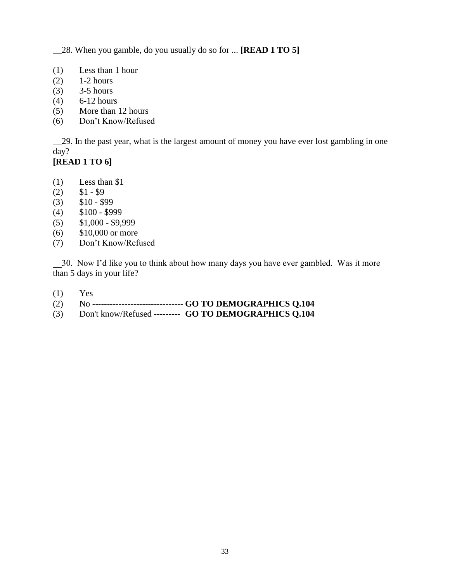\_\_28. When you gamble, do you usually do so for ... **[READ 1 TO 5]**

- (1) Less than 1 hour
- (2) 1-2 hours
- (3) 3-5 hours
- (4) 6-12 hours
- (5) More than 12 hours
- (6) Don't Know/Refused

\_\_29. In the past year, what is the largest amount of money you have ever lost gambling in one day?

## **[READ 1 TO 6]**

- (1) Less than \$1
- $(2)$  \$1 \$9
- $(3)$  \$10 \$99
- $(4)$  \$100 \$999
- $(5)$  \$1,000 \$9,999
- (6) \$10,000 or more
- (7) Don't Know/Refused

\_\_30. Now I'd like you to think about how many days you have ever gambled. Was it more than 5 days in your life?

- (1) Yes
- (2) No ------------------------------- **GO TO DEMOGRAPHICS Q.104**
- (3) Don't know/Refused --------- **GO TO DEMOGRAPHICS Q.104**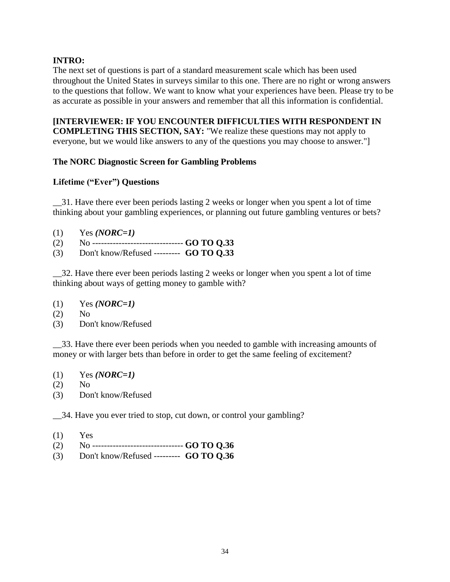## **INTRO:**

The next set of questions is part of a standard measurement scale which has been used throughout the United States in surveys similar to this one. There are no right or wrong answers to the questions that follow. We want to know what your experiences have been. Please try to be as accurate as possible in your answers and remember that all this information is confidential.

# **[INTERVIEWER: IF YOU ENCOUNTER DIFFICULTIES WITH RESPONDENT IN**

**COMPLETING THIS SECTION, SAY:** "We realize these questions may not apply to everyone, but we would like answers to any of the questions you may choose to answer."]

## **The NORC Diagnostic Screen for Gambling Problems**

## **Lifetime ("Ever") Questions**

\_\_31. Have there ever been periods lasting 2 weeks or longer when you spent a lot of time thinking about your gambling experiences, or planning out future gambling ventures or bets?

- (1) Yes *(NORC=1)*
- (2) No ------------------------------- **GO TO Q.33**
- (3) Don't know/Refused --------- **GO TO Q.33**

\_\_32. Have there ever been periods lasting 2 weeks or longer when you spent a lot of time thinking about ways of getting money to gamble with?

- (1) Yes *(NORC=1)*
- (2) No
- (3) Don't know/Refused

\_\_33. Have there ever been periods when you needed to gamble with increasing amounts of money or with larger bets than before in order to get the same feeling of excitement?

- (1) Yes *(NORC=1)*
- $(2)$  No
- (3) Don't know/Refused

\_\_34. Have you ever tried to stop, cut down, or control your gambling?

- $(1)$  Yes
- (2) No ------------------------------- **GO TO Q.36**
- (3) Don't know/Refused --------- **GO TO Q.36**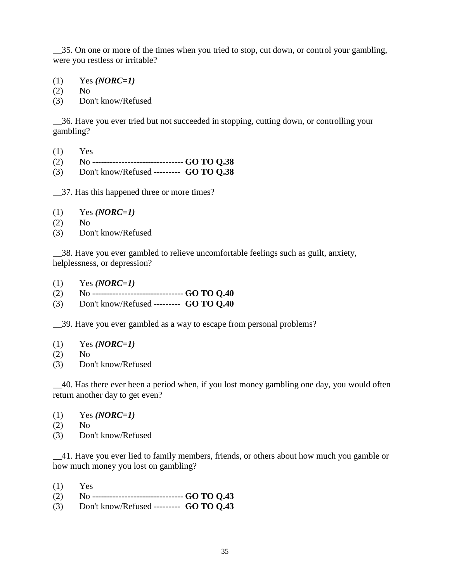\_\_35. On one or more of the times when you tried to stop, cut down, or control your gambling, were you restless or irritable?

(1) Yes *(NORC=1)*

(2) No

(3) Don't know/Refused

\_\_36. Have you ever tried but not succeeded in stopping, cutting down, or controlling your gambling?

- $(1)$  Yes
- (2) No ------------------------------- **GO TO Q.38**
- (3) Don't know/Refused --------- **GO TO Q.38**

\_\_37. Has this happened three or more times?

- (1) Yes *(NORC=1)*
- (2) No
- (3) Don't know/Refused

\_\_38. Have you ever gambled to relieve uncomfortable feelings such as guilt, anxiety, helplessness, or depression?

- (1) Yes *(NORC=1)*
- (2) No ------------------------------- **GO TO Q.40**
- (3) Don't know/Refused --------- **GO TO Q.40**

\_\_39. Have you ever gambled as a way to escape from personal problems?

- (1) Yes *(NORC=1)*
- $(2)$  No
- (3) Don't know/Refused

\_\_40. Has there ever been a period when, if you lost money gambling one day, you would often return another day to get even?

- (1) Yes *(NORC=1)*
- (2) No
- (3) Don't know/Refused

\_\_41. Have you ever lied to family members, friends, or others about how much you gamble or how much money you lost on gambling?

- $(1)$  Yes
- (2) No ------------------------------- **GO TO Q.43**
- (3) Don't know/Refused --------- **GO TO Q.43**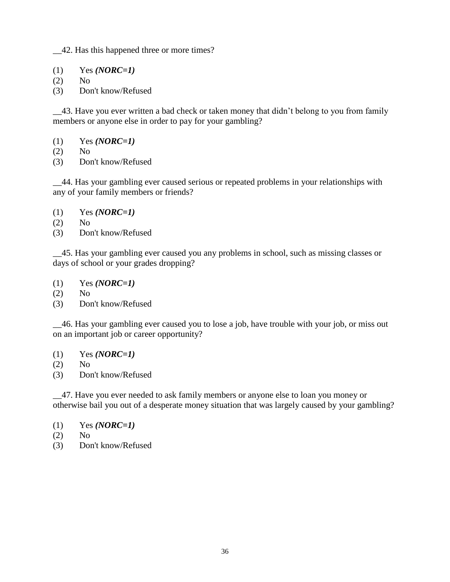\_\_42. Has this happened three or more times?

- (1) Yes *(NORC=1)*
- (2) No
- (3) Don't know/Refused

\_\_43. Have you ever written a bad check or taken money that didn't belong to you from family members or anyone else in order to pay for your gambling?

- (1) Yes *(NORC=1)*
- (2) No
- (3) Don't know/Refused

\_\_44. Has your gambling ever caused serious or repeated problems in your relationships with any of your family members or friends?

- (1) Yes *(NORC=1)*
- (2) No
- (3) Don't know/Refused

\_\_45. Has your gambling ever caused you any problems in school, such as missing classes or days of school or your grades dropping?

- (1) Yes *(NORC=1)*
- (2) No
- (3) Don't know/Refused

\_\_46. Has your gambling ever caused you to lose a job, have trouble with your job, or miss out on an important job or career opportunity?

- (1) Yes *(NORC=1)*
- (2) No
- (3) Don't know/Refused

\_\_47. Have you ever needed to ask family members or anyone else to loan you money or otherwise bail you out of a desperate money situation that was largely caused by your gambling?

- (1) Yes *(NORC=1)*
- (2) No
- (3) Don't know/Refused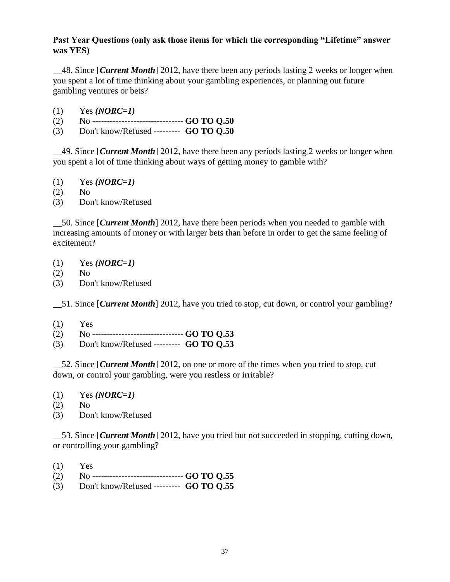## **Past Year Questions (only ask those items for which the corresponding "Lifetime" answer was YES)**

\_\_48. Since [*Current Month*] 2012, have there been any periods lasting 2 weeks or longer when you spent a lot of time thinking about your gambling experiences, or planning out future gambling ventures or bets?

- (1) Yes *(NORC=1)*
- (1) Yes (*NUKC=1)*<br>(2) No --------------------------------- **GO TO Q.50**
- (3) Don't know/Refused --------- **GO TO Q.50**

\_\_49. Since [*Current Month*] 2012, have there been any periods lasting 2 weeks or longer when you spent a lot of time thinking about ways of getting money to gamble with?

- (1) Yes *(NORC=1)*
- (2) No
- (3) Don't know/Refused

\_\_50. Since [*Current Month*] 2012, have there been periods when you needed to gamble with increasing amounts of money or with larger bets than before in order to get the same feeling of excitement?

- (1) Yes *(NORC=1)*
- (2) No
- (3) Don't know/Refused

51. Since *[Current Month*] 2012, have you tried to stop, cut down, or control your gambling?

- $(1)$  Yes
- (2) No ------------------------------- **GO TO Q.53**
- (3) Don't know/Refused --------- **GO TO Q.53**

\_\_52. Since [*Current Month*] 2012, on one or more of the times when you tried to stop, cut down, or control your gambling, were you restless or irritable?

- (1) Yes *(NORC=1)*
- (2) No
- (3) Don't know/Refused

\_\_53. Since [*Current Month*] 2012, have you tried but not succeeded in stopping, cutting down, or controlling your gambling?

- $(1)$  Yes
- (2) No ------------------------------- **GO TO Q.55**
- (3) Don't know/Refused --------- **GO TO Q.55**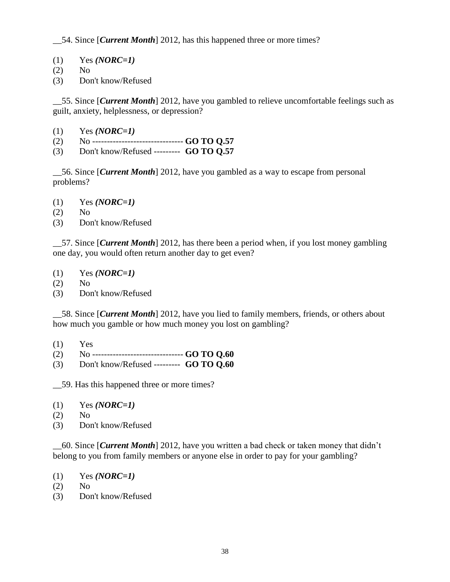\_\_54. Since [*Current Month*] 2012, has this happened three or more times?

- (1) Yes *(NORC=1)*
- (2) No
- (3) Don't know/Refused

\_\_55. Since [*Current Month*] 2012, have you gambled to relieve uncomfortable feelings such as guilt, anxiety, helplessness, or depression?

- (1) Yes *(NORC=1)*
- (2) No ------------------------------- **GO TO Q.57**
- (3) Don't know/Refused --------- **GO TO Q.57**

\_\_56. Since [*Current Month*] 2012, have you gambled as a way to escape from personal problems?

- (1) Yes *(NORC=1)*
- (2) No
- (3) Don't know/Refused

\_\_57. Since [*Current Month*] 2012, has there been a period when, if you lost money gambling one day, you would often return another day to get even?

- (1) Yes *(NORC=1)*
- (2) No
- (3) Don't know/Refused

\_\_58. Since [*Current Month*] 2012, have you lied to family members, friends, or others about how much you gamble or how much money you lost on gambling?

- $(1)$  Yes
- (2) No ------------------------------- **GO TO Q.60**
- (3) Don't know/Refused --------- **GO TO Q.60**

\_\_59. Has this happened three or more times?

- (1) Yes *(NORC=1)*
- (2) No
- (3) Don't know/Refused

\_\_60. Since [*Current Month*] 2012, have you written a bad check or taken money that didn't belong to you from family members or anyone else in order to pay for your gambling?

- (1) Yes *(NORC=1)*
- $(2)$  No
- (3) Don't know/Refused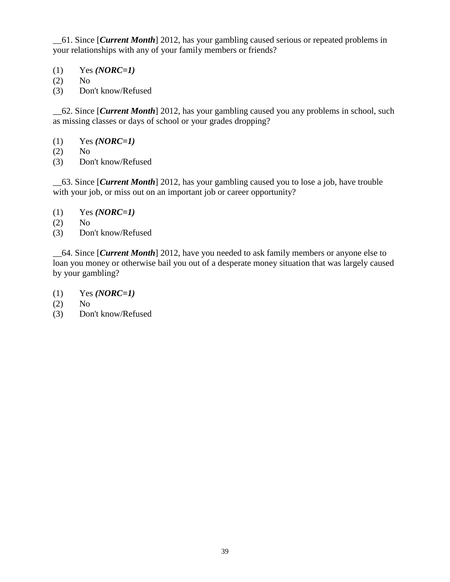\_\_61. Since [*Current Month*] 2012, has your gambling caused serious or repeated problems in your relationships with any of your family members or friends?

- (1) Yes *(NORC=1)*
- (2) No
- (3) Don't know/Refused

\_\_62. Since [*Current Month*] 2012, has your gambling caused you any problems in school, such as missing classes or days of school or your grades dropping?

- (1) Yes *(NORC=1)*
- (2) No
- (3) Don't know/Refused

\_\_63. Since [*Current Month*] 2012, has your gambling caused you to lose a job, have trouble with your job, or miss out on an important job or career opportunity?

- (1) Yes *(NORC=1)*
- (2) No
- (3) Don't know/Refused

\_\_64. Since [*Current Month*] 2012, have you needed to ask family members or anyone else to loan you money or otherwise bail you out of a desperate money situation that was largely caused by your gambling?

- (1) Yes *(NORC=1)*
- (2) No
- (3) Don't know/Refused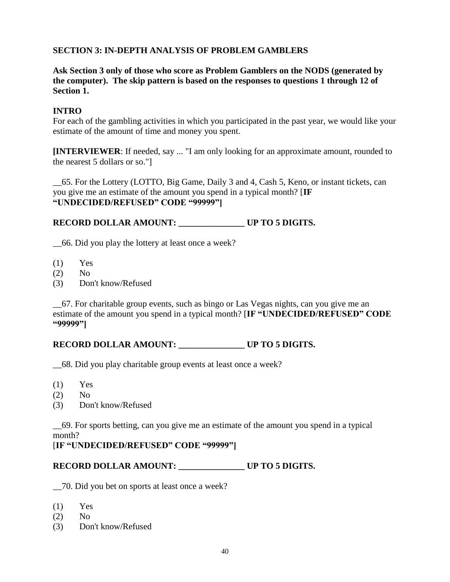## **SECTION 3: IN-DEPTH ANALYSIS OF PROBLEM GAMBLERS**

**Ask Section 3 only of those who score as Problem Gamblers on the NODS (generated by the computer). The skip pattern is based on the responses to questions 1 through 12 of Section 1.**

## **INTRO**

For each of the gambling activities in which you participated in the past year, we would like your estimate of the amount of time and money you spent.

**[INTERVIEWER**: If needed, say ... "I am only looking for an approximate amount, rounded to the nearest 5 dollars or so."]

\_\_65. For the Lottery (LOTTO, Big Game, Daily 3 and 4, Cash 5, Keno, or instant tickets, can you give me an estimate of the amount you spend in a typical month? [**IF "UNDECIDED/REFUSED" CODE "99999"]**

## **RECORD DOLLAR AMOUNT: \_\_\_\_\_\_\_\_\_\_\_\_\_\_\_ UP TO 5 DIGITS.**

\_\_66. Did you play the lottery at least once a week?

- $(1)$  Yes
- $(2)$  No
- (3) Don't know/Refused

\_\_67. For charitable group events, such as bingo or Las Vegas nights, can you give me an estimate of the amount you spend in a typical month? [**IF "UNDECIDED/REFUSED" CODE "99999"]**

## RECORD DOLLAR AMOUNT: UP TO 5 DIGITS.

\_\_68. Did you play charitable group events at least once a week?

- $(1)$  Yes
- (2) No
- (3) Don't know/Refused

\_\_69. For sports betting, can you give me an estimate of the amount you spend in a typical month?

### [**IF "UNDECIDED/REFUSED" CODE "99999"]**

## RECORD DOLLAR AMOUNT: UP TO 5 DIGITS.

\_\_70. Did you bet on sports at least once a week?

- $(1)$  Yes
- (2) No
- (3) Don't know/Refused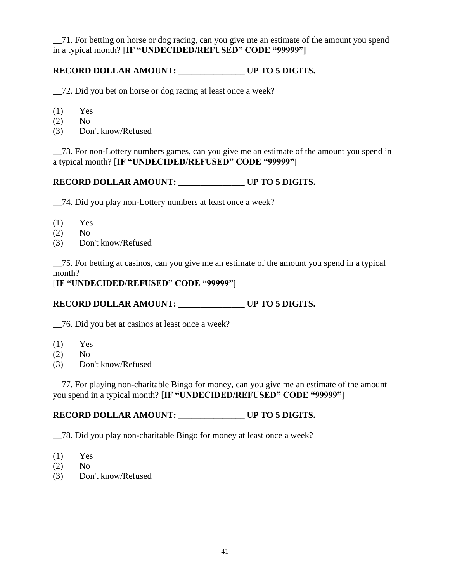\_\_71. For betting on horse or dog racing, can you give me an estimate of the amount you spend in a typical month? [**IF "UNDECIDED/REFUSED" CODE "99999"]**

## **RECORD DOLLAR AMOUNT: \_\_\_\_\_\_\_\_\_\_\_\_\_\_\_ UP TO 5 DIGITS.**

\_\_72. Did you bet on horse or dog racing at least once a week?

- $(1)$  Yes
- (2) No
- (3) Don't know/Refused

\_\_73. For non-Lottery numbers games, can you give me an estimate of the amount you spend in a typical month? [**IF "UNDECIDED/REFUSED" CODE "99999"]**

## **RECORD DOLLAR AMOUNT: \_\_\_\_\_\_\_\_\_\_\_\_\_\_\_ UP TO 5 DIGITS.**

\_\_74. Did you play non-Lottery numbers at least once a week?

- $(1)$  Yes
- (2) No
- (3) Don't know/Refused

\_\_75. For betting at casinos, can you give me an estimate of the amount you spend in a typical month?

#### [**IF "UNDECIDED/REFUSED" CODE "99999"]**

## **RECORD DOLLAR AMOUNT: \_\_\_\_\_\_\_\_\_\_\_\_\_\_\_ UP TO 5 DIGITS.**

\_\_76. Did you bet at casinos at least once a week?

- $(1)$  Yes
- $(2)$  No
- (3) Don't know/Refused

\_\_77. For playing non-charitable Bingo for money, can you give me an estimate of the amount you spend in a typical month? [**IF "UNDECIDED/REFUSED" CODE "99999"]**

## **RECORD DOLLAR AMOUNT: \_\_\_\_\_\_\_\_\_\_\_\_\_\_\_ UP TO 5 DIGITS.**

\_\_78. Did you play non-charitable Bingo for money at least once a week?

- $(1)$  Yes
- (2) No
- (3) Don't know/Refused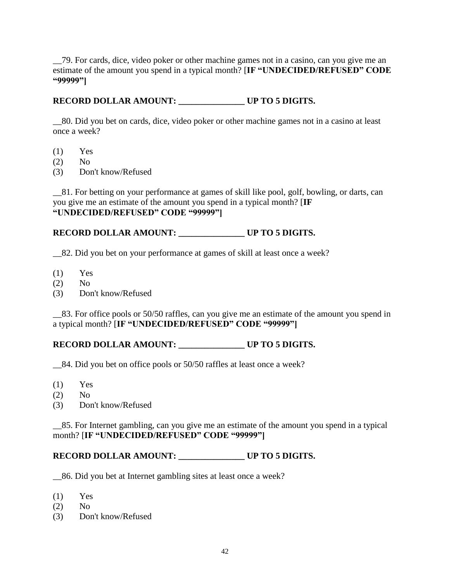\_\_79. For cards, dice, video poker or other machine games not in a casino, can you give me an estimate of the amount you spend in a typical month? [**IF "UNDECIDED/REFUSED" CODE "99999"]**

### **RECORD DOLLAR AMOUNT: \_\_\_\_\_\_\_\_\_\_\_\_\_\_\_ UP TO 5 DIGITS.**

\_\_80. Did you bet on cards, dice, video poker or other machine games not in a casino at least once a week?

- $(1)$  Yes
- (2) No
- (3) Don't know/Refused

\_\_81. For betting on your performance at games of skill like pool, golf, bowling, or darts, can you give me an estimate of the amount you spend in a typical month? [**IF "UNDECIDED/REFUSED" CODE "99999"]**

### **RECORD DOLLAR AMOUNT: \_\_\_\_\_\_\_\_\_\_\_\_\_\_\_ UP TO 5 DIGITS.**

\_\_82. Did you bet on your performance at games of skill at least once a week?

- $(1)$  Yes
- $(2)$  No
- (3) Don't know/Refused

\_\_83. For office pools or 50/50 raffles, can you give me an estimate of the amount you spend in a typical month? [**IF "UNDECIDED/REFUSED" CODE "99999"]**

### RECORD DOLLAR AMOUNT: UP TO 5 DIGITS.

\_\_84. Did you bet on office pools or 50/50 raffles at least once a week?

- $(1)$  Yes
- (2) No
- (3) Don't know/Refused

\_\_85. For Internet gambling, can you give me an estimate of the amount you spend in a typical month? [**IF "UNDECIDED/REFUSED" CODE "99999"]**

### **RECORD DOLLAR AMOUNT: \_\_\_\_\_\_\_\_\_\_\_\_\_\_\_ UP TO 5 DIGITS.**

\_\_86. Did you bet at Internet gambling sites at least once a week?

- (1) Yes
- (2) No
- (3) Don't know/Refused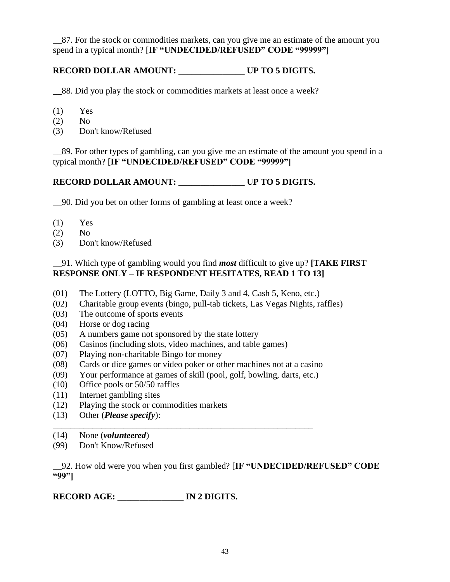\_\_87. For the stock or commodities markets, can you give me an estimate of the amount you spend in a typical month? [**IF "UNDECIDED/REFUSED" CODE "99999"]**

## **RECORD DOLLAR AMOUNT: \_\_\_\_\_\_\_\_\_\_\_\_\_\_\_ UP TO 5 DIGITS.**

\_\_88. Did you play the stock or commodities markets at least once a week?

- $(1)$  Yes
- (2) No
- (3) Don't know/Refused

\_\_89. For other types of gambling, can you give me an estimate of the amount you spend in a typical month? [**IF "UNDECIDED/REFUSED" CODE "99999"]**

## **RECORD DOLLAR AMOUNT: \_\_\_\_\_\_\_\_\_\_\_\_\_\_\_ UP TO 5 DIGITS.**

\_\_90. Did you bet on other forms of gambling at least once a week?

- $(1)$  Yes
- (2) No
- (3) Don't know/Refused

## \_\_91. Which type of gambling would you find *most* difficult to give up? **[TAKE FIRST RESPONSE ONLY – IF RESPONDENT HESITATES, READ 1 TO 13]**

- (01) The Lottery (LOTTO, Big Game, Daily 3 and 4, Cash 5, Keno, etc.)
- (02) Charitable group events (bingo, pull-tab tickets, Las Vegas Nights, raffles)
- (03) The outcome of sports events
- (04) Horse or dog racing
- (05) A numbers game not sponsored by the state lottery
- (06) Casinos (including slots, video machines, and table games)
- (07) Playing non-charitable Bingo for money
- (08) Cards or dice games or video poker or other machines not at a casino
- (09) Your performance at games of skill (pool, golf, bowling, darts, etc.)
- (10) Office pools or 50/50 raffles
- (11) Internet gambling sites
- (12) Playing the stock or commodities markets
- (13) Other (*Please specify*):
- \_\_\_\_\_\_\_\_\_\_\_\_\_\_\_\_\_\_\_\_\_\_\_\_\_\_\_\_\_\_\_\_\_\_\_\_\_\_\_\_\_\_\_\_\_\_\_\_\_\_\_\_\_\_\_\_\_\_\_ (14) None (*volunteered*)
- (99) Don't Know/Refused

\_\_92. How old were you when you first gambled? [**IF "UNDECIDED/REFUSED" CODE "99"]**

# **RECORD AGE: \_\_\_\_\_\_\_\_\_\_\_\_\_\_\_ IN 2 DIGITS.**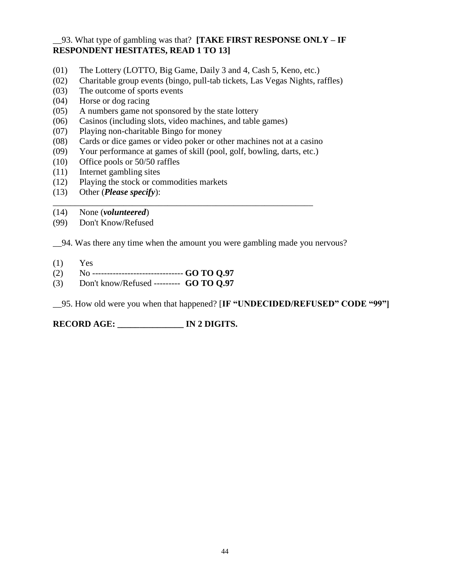## \_\_93. What type of gambling was that? **[TAKE FIRST RESPONSE ONLY – IF RESPONDENT HESITATES, READ 1 TO 13]**

- (01) The Lottery (LOTTO, Big Game, Daily 3 and 4, Cash 5, Keno, etc.)
- (02) Charitable group events (bingo, pull-tab tickets, Las Vegas Nights, raffles)
- (03) The outcome of sports events
- (04) Horse or dog racing
- (05) A numbers game not sponsored by the state lottery
- (06) Casinos (including slots, video machines, and table games)
- (07) Playing non-charitable Bingo for money
- (08) Cards or dice games or video poker or other machines not at a casino
- (09) Your performance at games of skill (pool, golf, bowling, darts, etc.)

\_\_\_\_\_\_\_\_\_\_\_\_\_\_\_\_\_\_\_\_\_\_\_\_\_\_\_\_\_\_\_\_\_\_\_\_\_\_\_\_\_\_\_\_\_\_\_\_\_\_\_\_\_\_\_\_\_\_\_

- (10) Office pools or 50/50 raffles
- (11) Internet gambling sites
- (12) Playing the stock or commodities markets
- (13) Other (*Please specify*):
- (14) None (*volunteered*)
- (99) Don't Know/Refused

\_\_94. Was there any time when the amount you were gambling made you nervous?

- $(1)$  Yes
- (2) No ------------------------------- **GO TO Q.97**
- (3) Don't know/Refused --------- **GO TO Q.97**

\_\_95. How old were you when that happened? [**IF "UNDECIDED/REFUSED" CODE "99"]**

**RECORD AGE: \_\_\_\_\_\_\_\_\_\_\_\_\_\_\_ IN 2 DIGITS.**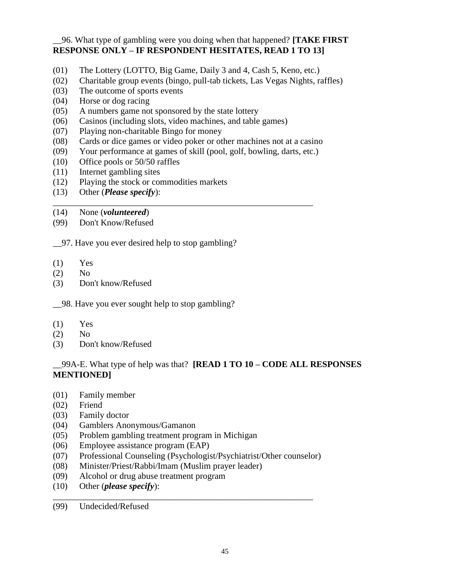### \_\_96. What type of gambling were you doing when that happened? **[TAKE FIRST RESPONSE ONLY – IF RESPONDENT HESITATES, READ 1 TO 13]**

- (01) The Lottery (LOTTO, Big Game, Daily 3 and 4, Cash 5, Keno, etc.)
- (02) Charitable group events (bingo, pull-tab tickets, Las Vegas Nights, raffles)
- (03) The outcome of sports events
- (04) Horse or dog racing
- (05) A numbers game not sponsored by the state lottery
- (06) Casinos (including slots, video machines, and table games)
- (07) Playing non-charitable Bingo for money
- (08) Cards or dice games or video poker or other machines not at a casino
- (09) Your performance at games of skill (pool, golf, bowling, darts, etc.)

\_\_\_\_\_\_\_\_\_\_\_\_\_\_\_\_\_\_\_\_\_\_\_\_\_\_\_\_\_\_\_\_\_\_\_\_\_\_\_\_\_\_\_\_\_\_\_\_\_\_\_\_\_\_\_\_\_\_\_

- (10) Office pools or 50/50 raffles
- (11) Internet gambling sites
- (12) Playing the stock or commodities markets
- (13) Other (*Please specify*):
- (14) None (*volunteered*)
- (99) Don't Know/Refused

\_\_97. Have you ever desired help to stop gambling?

- (1) Yes
- (2) No
- (3) Don't know/Refused

\_\_98. Have you ever sought help to stop gambling?

- (1) Yes
- (2) No
- (3) Don't know/Refused

## \_\_99A-E. What type of help was that? **[READ 1 TO 10 – CODE ALL RESPONSES MENTIONED]**

- (01) Family member
- (02) Friend
- (03) Family doctor
- (04) Gamblers Anonymous/Gamanon
- (05) Problem gambling treatment program in Michigan
- (06) Employee assistance program (EAP)
- (07) Professional Counseling (Psychologist/Psychiatrist/Other counselor)

\_\_\_\_\_\_\_\_\_\_\_\_\_\_\_\_\_\_\_\_\_\_\_\_\_\_\_\_\_\_\_\_\_\_\_\_\_\_\_\_\_\_\_\_\_\_\_\_\_\_\_\_\_\_\_\_\_\_\_

- (08) Minister/Priest/Rabbi/Imam (Muslim prayer leader)
- (09) Alcohol or drug abuse treatment program
- (10) Other (*please specify*):

(99) Undecided/Refused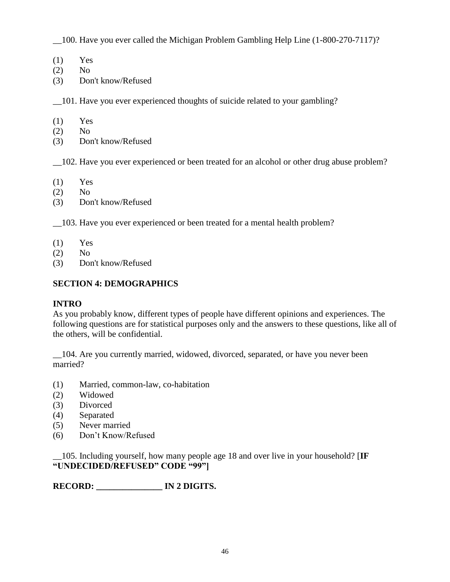\_\_100. Have you ever called the Michigan Problem Gambling Help Line (1-800-270-7117)?

- (1) Yes
- (2) No
- (3) Don't know/Refused

\_\_101. Have you ever experienced thoughts of suicide related to your gambling?

- (1) Yes
- $(2)$  No
- (3) Don't know/Refused

\_\_102. Have you ever experienced or been treated for an alcohol or other drug abuse problem?

- $(1)$  Yes
- (2) No
- (3) Don't know/Refused

\_\_103. Have you ever experienced or been treated for a mental health problem?

- $(1)$  Yes
- (2) No
- (3) Don't know/Refused

## **SECTION 4: DEMOGRAPHICS**

## **INTRO**

As you probably know, different types of people have different opinions and experiences. The following questions are for statistical purposes only and the answers to these questions, like all of the others, will be confidential.

\_\_104. Are you currently married, widowed, divorced, separated, or have you never been married?

- (1) Married, common-law, co-habitation
- (2) Widowed
- (3) Divorced
- (4) Separated
- (5) Never married
- (6) Don't Know/Refused

\_\_105. Including yourself, how many people age 18 and over live in your household? [**IF "UNDECIDED/REFUSED" CODE "99"]**

**RECORD: \_\_\_\_\_\_\_\_\_\_\_\_\_\_\_ IN 2 DIGITS.**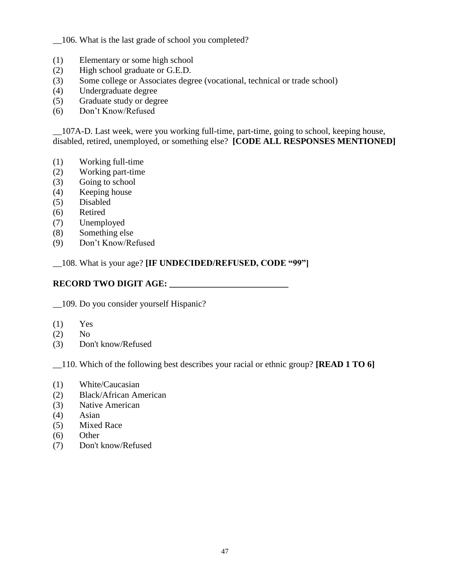\_\_106. What is the last grade of school you completed?

- (1) Elementary or some high school
- (2) High school graduate or G.E.D.
- (3) Some college or Associates degree (vocational, technical or trade school)
- (4) Undergraduate degree
- (5) Graduate study or degree
- (6) Don't Know/Refused

\_\_107A-D. Last week, were you working full-time, part-time, going to school, keeping house, disabled, retired, unemployed, or something else? **[CODE ALL RESPONSES MENTIONED]**

- (1) Working full-time
- (2) Working part-time
- (3) Going to school
- (4) Keeping house
- (5) Disabled
- (6) Retired
- (7) Unemployed
- (8) Something else
- (9) Don't Know/Refused

\_\_108. What is your age? **[IF UNDECIDED/REFUSED, CODE "99"]**

## **RECORD TWO DIGIT AGE: \_\_\_\_\_\_\_\_\_\_\_\_\_\_\_\_\_\_\_\_\_\_\_\_\_\_\_**

\_\_109. Do you consider yourself Hispanic?

- $(1)$  Yes
- (2) No
- (3) Don't know/Refused

\_\_110. Which of the following best describes your racial or ethnic group? **[READ 1 TO 6]**

- (1) White/Caucasian
- (2) Black/African American
- (3) Native American
- (4) Asian
- (5) Mixed Race
- (6) Other
- (7) Don't know/Refused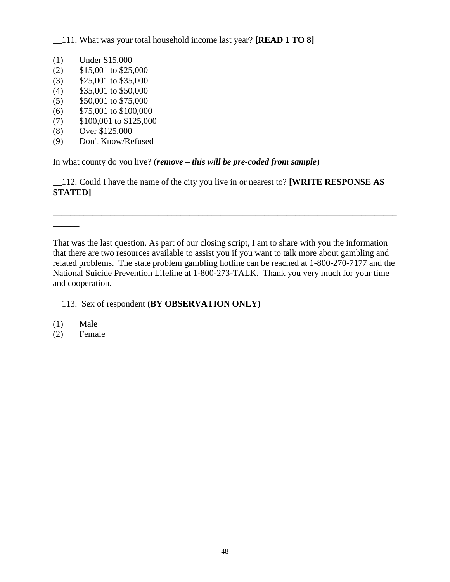\_\_111. What was your total household income last year? **[READ 1 TO 8]**

- (1) Under \$15,000
- (2) \$15,001 to \$25,000
- (3) \$25,001 to \$35,000
- (4) \$35,001 to \$50,000
- (5) \$50,001 to \$75,000
- (6) \$75,001 to \$100,000
- (7) \$100,001 to \$125,000
- (8) Over \$125,000
- (9) Don't Know/Refused

In what county do you live? (*remove – this will be pre-coded from sample*)

\_\_112. Could I have the name of the city you live in or nearest to? **[WRITE RESPONSE AS STATED]**

That was the last question. As part of our closing script, I am to share with you the information that there are two resources available to assist you if you want to talk more about gambling and related problems. The state problem gambling hotline can be reached at 1-800-270-7177 and the National Suicide Prevention Lifeline at 1-800-273-TALK. Thank you very much for your time and cooperation.

\_\_\_\_\_\_\_\_\_\_\_\_\_\_\_\_\_\_\_\_\_\_\_\_\_\_\_\_\_\_\_\_\_\_\_\_\_\_\_\_\_\_\_\_\_\_\_\_\_\_\_\_\_\_\_\_\_\_\_\_\_\_\_\_\_\_\_\_\_\_\_\_\_\_\_\_\_\_

- 113. Sex of respondent **(BY OBSERVATION ONLY)**
- (1) Male

\_\_\_\_\_\_

(2) Female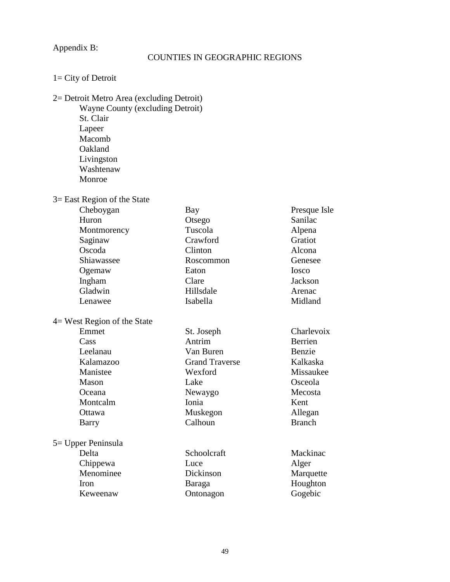## Appendix B:

## COUNTIES IN GEOGRAPHIC REGIONS

| $1 = City of Detroit$ |  |  |
|-----------------------|--|--|
|-----------------------|--|--|

## 2= Detroit Metro Area (excluding Detroit)

Wayne County (excluding Detroit) St. Clair Lapeer Macomb Oakland Livingston Washtenaw Monroe

## 3= East Region of the State

| Cheboygan                      | Bay                   | Presque Isle   |
|--------------------------------|-----------------------|----------------|
| Huron                          | Otsego                | Sanilac        |
| Montmorency                    | Tuscola               | Alpena         |
| Saginaw                        | Crawford              | Gratiot        |
| Oscoda                         | Clinton               | Alcona         |
| Shiawassee                     | Roscommon             | Genesee        |
| Ogemaw                         | Eaton                 | Iosco          |
| Ingham                         | Clare                 | <b>Jackson</b> |
| Gladwin                        | Hillsdale             | Arenac         |
| Lenawee                        | Isabella              | Midland        |
| $4$ = West Region of the State |                       |                |
| Emmet                          | St. Joseph            | Charlevoix     |
| Cass                           | Antrim                | Berrien        |
| Leelanau                       | Van Buren             | Benzie         |
| Kalamazoo                      | <b>Grand Traverse</b> | Kalkaska       |
| Manistee                       | Wexford               | Missaukee      |
| Mason                          | Lake                  | Osceola        |
| Oceana                         | Newaygo               | Mecosta        |
| Montcalm                       | Ionia                 | Kent           |
| Ottawa                         | Muskegon              | Allegan        |
| Barry                          | Calhoun               | <b>Branch</b>  |
| 5 = Upper Peninsula            |                       |                |
| Delta                          | Schoolcraft           | Mackinac       |
| Chippewa                       | Luce                  | Alger          |
| Menominee                      | Dickinson             | Marquette      |
| Iron                           | Baraga                | Houghton       |
| Keweenaw                       | Ontonagon             | Gogebic        |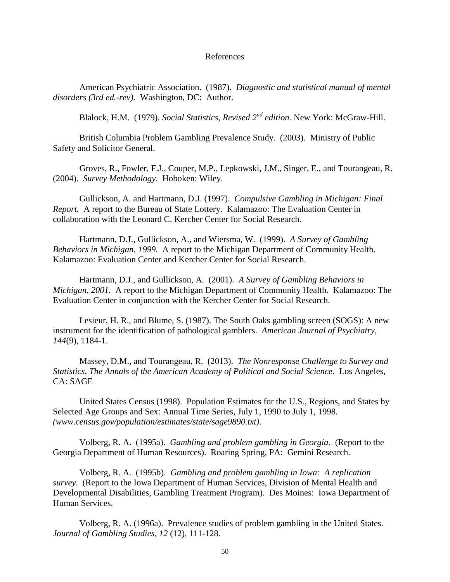#### References

American Psychiatric Association. (1987). *Diagnostic and statistical manual of mental disorders (3rd ed.-rev).* Washington, DC: Author.

Blalock, H.M. (1979). *Social Statistics, Revised 2nd edition.* New York: McGraw-Hill.

British Columbia Problem Gambling Prevalence Study. (2003). Ministry of Public Safety and Solicitor General.

Groves, R., Fowler, F.J., Couper, M.P., Lepkowski, J.M., Singer, E., and Tourangeau, R. (2004). *Survey Methodology*. Hoboken: Wiley.

Gullickson, A. and Hartmann, D.J. (1997). *Compulsive Gambling in Michigan: Final Report.* A report to the Bureau of State Lottery. Kalamazoo: The Evaluation Center in collaboration with the Leonard C. Kercher Center for Social Research.

Hartmann, D.J., Gullickson, A., and Wiersma, W. (1999). *A Survey of Gambling Behaviors in Michigan, 1999.* A report to the Michigan Department of Community Health. Kalamazoo: Evaluation Center and Kercher Center for Social Research.

Hartmann, D.J., and Gullickson, A. (2001). *A Survey of Gambling Behaviors in Michigan, 2001.* A report to the Michigan Department of Community Health. Kalamazoo: The Evaluation Center in conjunction with the Kercher Center for Social Research.

Lesieur, H. R., and Blume, S. (1987). The South Oaks gambling screen (SOGS): A new instrument for the identification of pathological gamblers. *American Journal of Psychiatry, 144*(9), 1184-1.

Massey, D.M., and Tourangeau, R. (2013). *The Nonresponse Challenge to Survey and Statistics, The Annals of the American Academy of Political and Social Science*. Los Angeles, CA: SAGE

United States Census (1998). Population Estimates for the U.S., Regions, and States by Selected Age Groups and Sex: Annual Time Series, July 1, 1990 to July 1, 1998. *(www.census.gov/population/estimates/state/sage9890.txt)*.

Volberg, R. A. (1995a). *Gambling and problem gambling in Georgia*. (Report to the Georgia Department of Human Resources). Roaring Spring, PA: Gemini Research.

Volberg, R. A. (1995b). *Gambling and problem gambling in Iowa: A replication survey*. (Report to the Iowa Department of Human Services, Division of Mental Health and Developmental Disabilities, Gambling Treatment Program). Des Moines: Iowa Department of Human Services.

Volberg, R. A. (1996a). Prevalence studies of problem gambling in the United States. *Journal of Gambling Studies, 12* (12), 111-128.